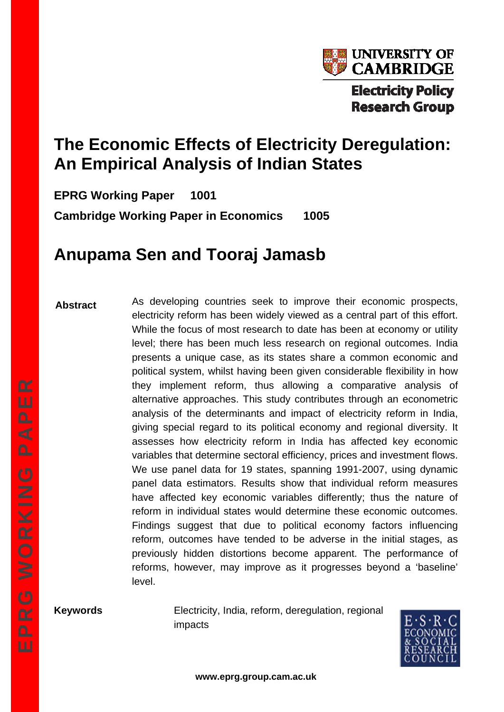

# **The Economic Effects of Electricity Deregulation: An Empirical Analysis of Indian States**

**EPRG Working Paper 1001 Cambridge Working Paper in Economics 1005** 

# **Anupama Sen and Tooraj Jamasb**

**Abstract** 

As developing countries seek to improve their economic prospects, electricity reform has been widely viewed as a central part of this effort. While the focus of most research to date has been at economy or utility level; there has been much less research on regional outcomes. India presents a unique case, as its states share a common economic and political system, whilst having been given considerable flexibility in how they implement reform, thus allowing a comparative analysis of alternative approaches. This study contributes through an econometric analysis of the determinants and impact of electricity reform in India, giving special regard to its political economy and regional diversity. It assesses how electricity reform in India has affected key economic variables that determine sectoral efficiency, prices and investment flows. We use panel data for 19 states, spanning 1991-2007, using dynamic panel data estimators. Results show that individual reform measures have affected key economic variables differently; thus the nature of reform in individual states would determine these economic outcomes. Findings suggest that due to political economy factors influencing reform, outcomes have tended to be adverse in the initial stages, as previously hidden distortions become apparent. The performance of reforms, however, may improve as it progresses beyond a 'baseline' level.

**Keywords** Electricity, India, reform, deregulation, regional impacts

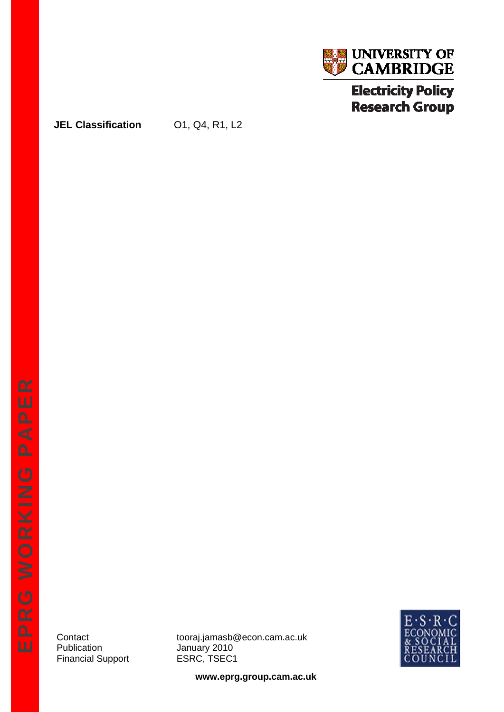

## **JEL Classification** 01, Q4, R1, L2

Publication January 2010 Financial Support **ESRC, TSEC1** 

Contact tooraj.jamasb@econ.cam.ac.uk



**www.eprg.group.cam.ac.uk**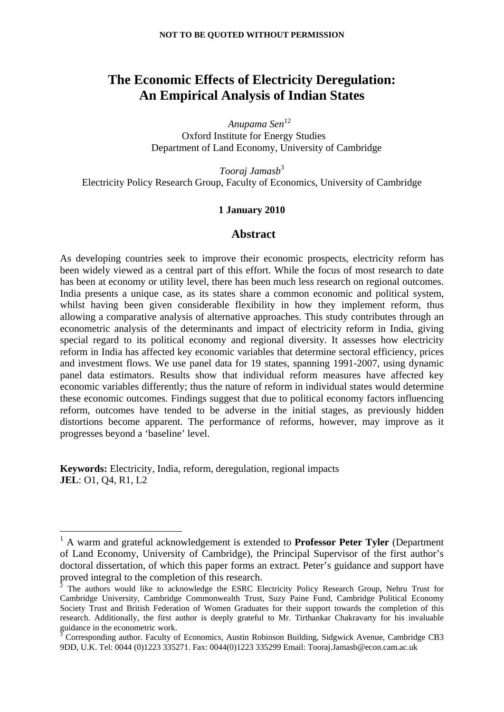# **The Economic Effects of Electricity Deregulation: An Empirical Analysis of Indian States**

*Anupama Sen*<sup>12</sup> Oxford Institute for Energy Studies Department of Land Economy, University of Cambridge

*Tooraj Jamasb*<sup>3</sup> Electricity Policy Research Group, Faculty of Economics, University of Cambridge

## **1 January 2010**

#### **Abstract**

As developing countries seek to improve their economic prospects, electricity reform has been widely viewed as a central part of this effort. While the focus of most research to date has been at economy or utility level, there has been much less research on regional outcomes. India presents a unique case, as its states share a common economic and political system, whilst having been given considerable flexibility in how they implement reform, thus allowing a comparative analysis of alternative approaches. This study contributes through an econometric analysis of the determinants and impact of electricity reform in India, giving special regard to its political economy and regional diversity. It assesses how electricity reform in India has affected key economic variables that determine sectoral efficiency, prices and investment flows. We use panel data for 19 states, spanning 1991-2007, using dynamic panel data estimators. Results show that individual reform measures have affected key economic variables differently; thus the nature of reform in individual states would determine these economic outcomes. Findings suggest that due to political economy factors influencing reform, outcomes have tended to be adverse in the initial stages, as previously hidden distortions become apparent. The performance of reforms, however, may improve as it progresses beyond a 'baseline' level.

**Keywords:** Electricity, India, reform, deregulation, regional impacts **JEL**: O1, Q4, R1, L2

<sup>1</sup> A warm and grateful acknowledgement is extended to **Professor Peter Tyler** (Department of Land Economy, University of Cambridge), the Principal Supervisor of the first author's doctoral dissertation, of which this paper forms an extract. Peter's guidance and support have proved integral to the completion of this research.

<sup>2</sup> The authors would like to acknowledge the ESRC Electricity Policy Research Group, Nehru Trust for Cambridge University, Cambridge Commonwealth Trust, Suzy Paine Fund, Cambridge Political Economy Society Trust and British Federation of Women Graduates for their support towards the completion of this research. Additionally, the first author is deeply grateful to Mr. Tirthankar Chakravarty for his invaluable guidance in the econometric work.

<sup>3</sup> Corresponding author. Faculty of Economics, Austin Robinson Building, Sidgwick Avenue, Cambridge CB3 9DD, U.K. Tel: 0044 (0)1223 335271. Fax: 0044(0)1223 335299 Email: Tooraj.Jamasb@econ.cam.ac.uk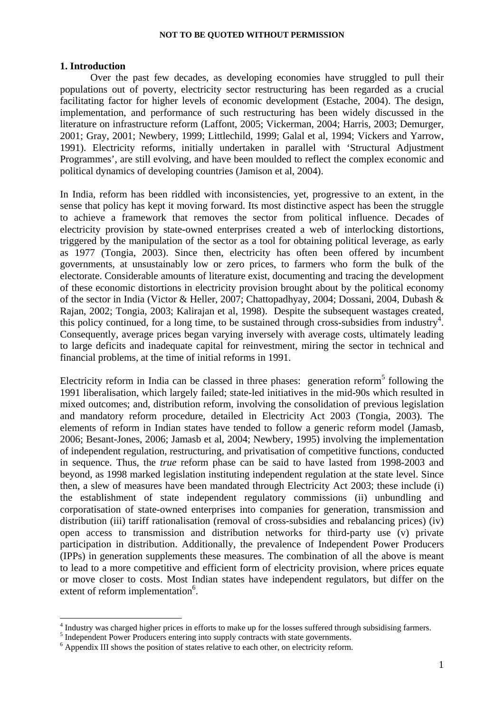#### **1. Introduction**

1

Over the past few decades, as developing economies have struggled to pull their populations out of poverty, electricity sector restructuring has been regarded as a crucial facilitating factor for higher levels of economic development (Estache, 2004). The design, implementation, and performance of such restructuring has been widely discussed in the literature on infrastructure reform (Laffont, 2005; Vickerman, 2004; Harris, 2003; Demurger, 2001; Gray, 2001; Newbery, 1999; Littlechild, 1999; Galal et al, 1994; Vickers and Yarrow, 1991). Electricity reforms, initially undertaken in parallel with 'Structural Adjustment Programmes', are still evolving, and have been moulded to reflect the complex economic and political dynamics of developing countries (Jamison et al, 2004).

In India, reform has been riddled with inconsistencies, yet, progressive to an extent, in the sense that policy has kept it moving forward. Its most distinctive aspect has been the struggle to achieve a framework that removes the sector from political influence. Decades of electricity provision by state-owned enterprises created a web of interlocking distortions, triggered by the manipulation of the sector as a tool for obtaining political leverage, as early as 1977 (Tongia, 2003). Since then, electricity has often been offered by incumbent governments, at unsustainably low or zero prices, to farmers who form the bulk of the electorate. Considerable amounts of literature exist, documenting and tracing the development of these economic distortions in electricity provision brought about by the political economy of the sector in India (Victor & Heller, 2007; Chattopadhyay, 2004; Dossani, 2004, Dubash & Rajan, 2002; Tongia, 2003; Kalirajan et al, 1998). Despite the subsequent wastages created, this policy continued, for a long time, to be sustained through cross-subsidies from industry<sup>4</sup>. Consequently, average prices began varying inversely with average costs, ultimately leading to large deficits and inadequate capital for reinvestment, miring the sector in technical and financial problems, at the time of initial reforms in 1991.

Electricity reform in India can be classed in three phases: generation reform<sup>5</sup> following the 1991 liberalisation, which largely failed; state-led initiatives in the mid-90s which resulted in mixed outcomes; and, distribution reform, involving the consolidation of previous legislation and mandatory reform procedure, detailed in Electricity Act 2003 (Tongia, 2003). The elements of reform in Indian states have tended to follow a generic reform model (Jamasb, 2006; Besant-Jones, 2006; Jamasb et al, 2004; Newbery, 1995) involving the implementation of independent regulation, restructuring, and privatisation of competitive functions, conducted in sequence. Thus, the *true* reform phase can be said to have lasted from 1998-2003 and beyond, as 1998 marked legislation instituting independent regulation at the state level. Since then, a slew of measures have been mandated through Electricity Act 2003; these include (i) the establishment of state independent regulatory commissions (ii) unbundling and corporatisation of state-owned enterprises into companies for generation, transmission and distribution (iii) tariff rationalisation (removal of cross-subsidies and rebalancing prices) (iv) open access to transmission and distribution networks for third-party use (v) private participation in distribution. Additionally, the prevalence of Independent Power Producers (IPPs) in generation supplements these measures. The combination of all the above is meant to lead to a more competitive and efficient form of electricity provision, where prices equate or move closer to costs. Most Indian states have independent regulators, but differ on the extent of reform implementation<sup>6</sup>.

 $^{4}$  Industry was charged higher prices in efforts to make up for the losses suffered through subsidising farmers.<br> $^{5}$  Indopendent Power Producers optering into supply contracts with state governments.

<sup>&</sup>lt;sup>5</sup> Independent Power Producers entering into supply contracts with state governments.

<sup>&</sup>lt;sup>6</sup> Appendix III shows the position of states relative to each other, on electricity reform.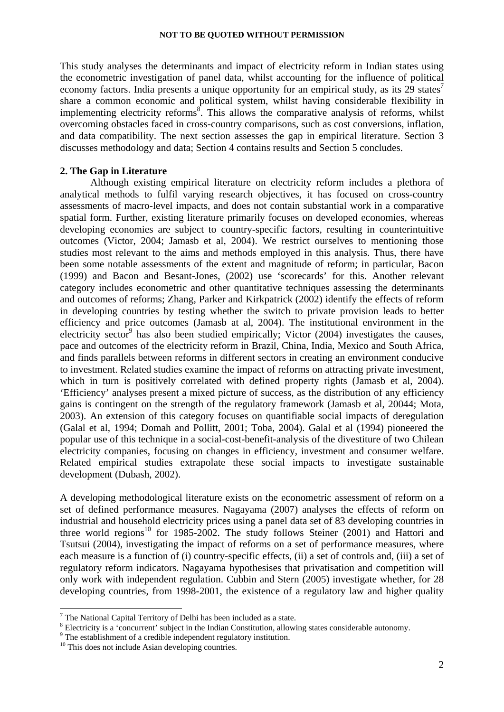This study analyses the determinants and impact of electricity reform in Indian states using the econometric investigation of panel data, whilst accounting for the influence of political economy factors. India presents a unique opportunity for an empirical study, as its 29 states<sup>7</sup> share a common economic and political system, whilst having considerable flexibility in implementing electricity reforms<sup>8</sup>. This allows the comparative analysis of reforms, whilst overcoming obstacles faced in cross-country comparisons, such as cost conversions, inflation, and data compatibility. The next section assesses the gap in empirical literature. Section 3 discusses methodology and data; Section 4 contains results and Section 5 concludes.

#### **2. The Gap in Literature**

Although existing empirical literature on electricity reform includes a plethora of analytical methods to fulfil varying research objectives, it has focused on cross-country assessments of macro-level impacts, and does not contain substantial work in a comparative spatial form. Further, existing literature primarily focuses on developed economies, whereas developing economies are subject to country-specific factors, resulting in counterintuitive outcomes (Victor, 2004; Jamasb et al, 2004). We restrict ourselves to mentioning those studies most relevant to the aims and methods employed in this analysis. Thus, there have been some notable assessments of the extent and magnitude of reform; in particular, Bacon (1999) and Bacon and Besant-Jones, (2002) use 'scorecards' for this. Another relevant category includes econometric and other quantitative techniques assessing the determinants and outcomes of reforms; Zhang, Parker and Kirkpatrick (2002) identify the effects of reform in developing countries by testing whether the switch to private provision leads to better efficiency and price outcomes (Jamasb at al, 2004). The institutional environment in the electricity sector<sup>9</sup> has also been studied empirically; Victor  $(2004)$  investigates the causes, pace and outcomes of the electricity reform in Brazil, China, India, Mexico and South Africa, and finds parallels between reforms in different sectors in creating an environment conducive to investment. Related studies examine the impact of reforms on attracting private investment, which in turn is positively correlated with defined property rights (Jamasb et al, 2004). 'Efficiency' analyses present a mixed picture of success, as the distribution of any efficiency gains is contingent on the strength of the regulatory framework (Jamasb et al, 20044; Mota, 2003). An extension of this category focuses on quantifiable social impacts of deregulation (Galal et al, 1994; Domah and Pollitt, 2001; Toba, 2004). Galal et al (1994) pioneered the popular use of this technique in a social-cost-benefit-analysis of the divestiture of two Chilean electricity companies, focusing on changes in efficiency, investment and consumer welfare. Related empirical studies extrapolate these social impacts to investigate sustainable development (Dubash, 2002).

A developing methodological literature exists on the econometric assessment of reform on a set of defined performance measures. Nagayama (2007) analyses the effects of reform on industrial and household electricity prices using a panel data set of 83 developing countries in three world regions<sup>10</sup> for 1985-2002. The study follows Steiner (2001) and Hattori and Tsutsui (2004), investigating the impact of reforms on a set of performance measures, where each measure is a function of (i) country-specific effects, (ii) a set of controls and, (iii) a set of regulatory reform indicators. Nagayama hypothesises that privatisation and competition will only work with independent regulation. Cubbin and Stern (2005) investigate whether, for 28 developing countries, from 1998-2001, the existence of a regulatory law and higher quality

 $7$  The National Capital Territory of Delhi has been included as a state.

 $\frac{8}{2}$  Electricity is a 'concurrent' subject in the Indian Constitution, allowing states considerable autonomy.

<sup>&</sup>lt;sup>9</sup> The establishment of a credible independent regulatory institution.

<sup>&</sup>lt;sup>10</sup> This does not include Asian developing countries.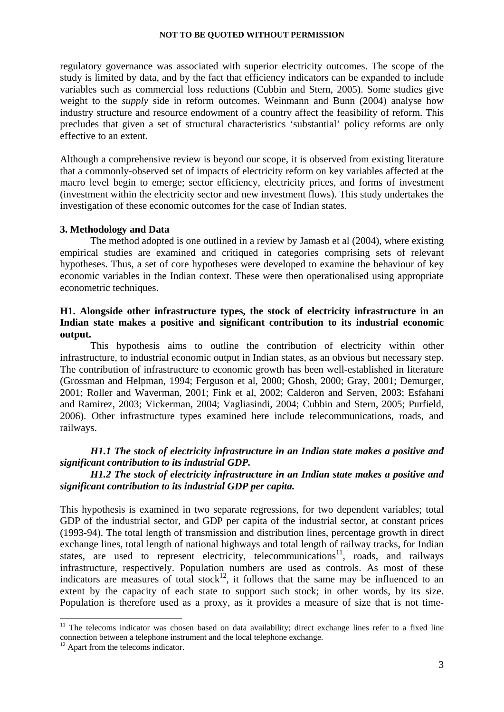regulatory governance was associated with superior electricity outcomes. The scope of the study is limited by data, and by the fact that efficiency indicators can be expanded to include variables such as commercial loss reductions (Cubbin and Stern, 2005). Some studies give weight to the *supply* side in reform outcomes. Weinmann and Bunn (2004) analyse how industry structure and resource endowment of a country affect the feasibility of reform. This precludes that given a set of structural characteristics 'substantial' policy reforms are only effective to an extent.

Although a comprehensive review is beyond our scope, it is observed from existing literature that a commonly-observed set of impacts of electricity reform on key variables affected at the macro level begin to emerge; sector efficiency, electricity prices, and forms of investment (investment within the electricity sector and new investment flows). This study undertakes the investigation of these economic outcomes for the case of Indian states.

#### **3. Methodology and Data**

 The method adopted is one outlined in a review by Jamasb et al (2004), where existing empirical studies are examined and critiqued in categories comprising sets of relevant hypotheses. Thus, a set of core hypotheses were developed to examine the behaviour of key economic variables in the Indian context. These were then operationalised using appropriate econometric techniques.

## **H1. Alongside other infrastructure types, the stock of electricity infrastructure in an Indian state makes a positive and significant contribution to its industrial economic output.**

This hypothesis aims to outline the contribution of electricity within other infrastructure, to industrial economic output in Indian states, as an obvious but necessary step. The contribution of infrastructure to economic growth has been well-established in literature (Grossman and Helpman, 1994; Ferguson et al, 2000; Ghosh, 2000; Gray, 2001; Demurger, 2001; Roller and Waverman, 2001; Fink et al, 2002; Calderon and Serven, 2003; Esfahani and Ramirez, 2003; Vickerman, 2004; Vagliasindi, 2004; Cubbin and Stern, 2005; Purfield, 2006). Other infrastructure types examined here include telecommunications, roads, and railways.

## *H1.1 The stock of electricity infrastructure in an Indian state makes a positive and significant contribution to its industrial GDP.*

## *H1.2 The stock of electricity infrastructure in an Indian state makes a positive and significant contribution to its industrial GDP per capita.*

This hypothesis is examined in two separate regressions, for two dependent variables; total GDP of the industrial sector, and GDP per capita of the industrial sector, at constant prices (1993-94). The total length of transmission and distribution lines, percentage growth in direct exchange lines, total length of national highways and total length of railway tracks, for Indian states, are used to represent electricity, telecommunications<sup>11</sup>, roads, and railways infrastructure, respectively. Population numbers are used as controls. As most of these indicators are measures of total stock<sup>12</sup>, it follows that the same may be influenced to an extent by the capacity of each state to support such stock; in other words, by its size. Population is therefore used as a proxy, as it provides a measure of size that is not time-

<sup>&</sup>lt;sup>11</sup> The telecoms indicator was chosen based on data availability; direct exchange lines refer to a fixed line connection between a telephone instrument and the local telephone exchange.

<sup>&</sup>lt;sup>12</sup> Apart from the telecoms indicator.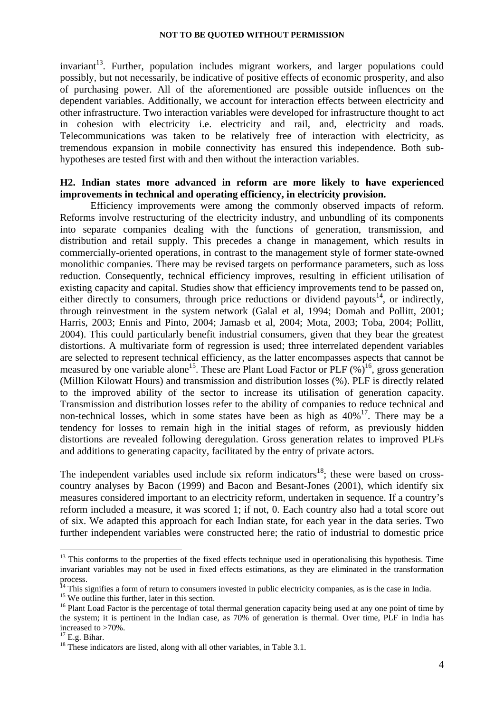$invariant<sup>13</sup>$ . Further, population includes migrant workers, and larger populations could possibly, but not necessarily, be indicative of positive effects of economic prosperity, and also of purchasing power. All of the aforementioned are possible outside influences on the dependent variables. Additionally, we account for interaction effects between electricity and other infrastructure. Two interaction variables were developed for infrastructure thought to act in cohesion with electricity i.e. electricity and rail, and, electricity and roads. Telecommunications was taken to be relatively free of interaction with electricity, as tremendous expansion in mobile connectivity has ensured this independence. Both subhypotheses are tested first with and then without the interaction variables.

## **H2. Indian states more advanced in reform are more likely to have experienced improvements in technical and operating efficiency, in electricity provision.**

Efficiency improvements were among the commonly observed impacts of reform. Reforms involve restructuring of the electricity industry, and unbundling of its components into separate companies dealing with the functions of generation, transmission, and distribution and retail supply. This precedes a change in management, which results in commercially-oriented operations, in contrast to the management style of former state-owned monolithic companies. There may be revised targets on performance parameters, such as loss reduction. Consequently, technical efficiency improves, resulting in efficient utilisation of existing capacity and capital. Studies show that efficiency improvements tend to be passed on, either directly to consumers, through price reductions or dividend payouts<sup>14</sup>, or indirectly, through reinvestment in the system network (Galal et al, 1994; Domah and Pollitt, 2001; Harris, 2003; Ennis and Pinto, 2004; Jamasb et al, 2004; Mota, 2003; Toba, 2004; Pollitt, 2004). This could particularly benefit industrial consumers, given that they bear the greatest distortions. A multivariate form of regression is used; three interrelated dependent variables are selected to represent technical efficiency, as the latter encompasses aspects that cannot be measured by one variable alone<sup>15</sup>. These are Plant Load Factor or PLF  $(\%)^{16}$ , gross generation (Million Kilowatt Hours) and transmission and distribution losses (%). PLF is directly related to the improved ability of the sector to increase its utilisation of generation capacity. Transmission and distribution losses refer to the ability of companies to reduce technical and non-technical losses, which in some states have been as high as  $40\%$ <sup>17</sup>. There may be a tendency for losses to remain high in the initial stages of reform, as previously hidden distortions are revealed following deregulation. Gross generation relates to improved PLFs and additions to generating capacity, facilitated by the entry of private actors.

The independent variables used include six reform indicators<sup>18</sup>; these were based on crosscountry analyses by Bacon (1999) and Bacon and Besant-Jones (2001), which identify six measures considered important to an electricity reform, undertaken in sequence. If a country's reform included a measure, it was scored 1; if not, 0. Each country also had a total score out of six. We adapted this approach for each Indian state, for each year in the data series. Two further independent variables were constructed here; the ratio of industrial to domestic price

<sup>&</sup>lt;sup>13</sup> This conforms to the properties of the fixed effects technique used in operationalising this hypothesis. Time invariant variables may not be used in fixed effects estimations, as they are eliminated in the transformation process.

 $14$  This signifies a form of return to consumers invested in public electricity companies, as is the case in India.  $15$  We outline this further, later in this section.

<sup>&</sup>lt;sup>15</sup> We outline this further, later in this section.<br><sup>16</sup> Plant Load Factor is the percentage of total thermal generation capacity being used at any one point of time by the system; it is pertinent in the Indian case, as 70% of generation is thermal. Over time, PLF in India has increased to >70%.

 $17$  E.g. Bihar.

 $18$  These indicators are listed, along with all other variables, in Table 3.1.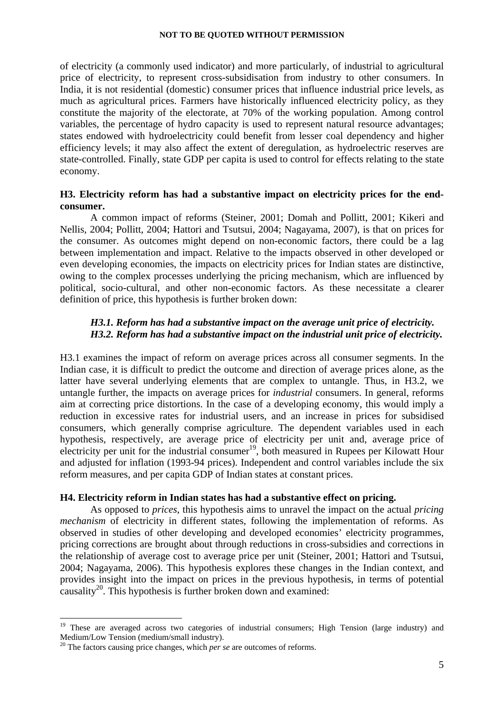of electricity (a commonly used indicator) and more particularly, of industrial to agricultural price of electricity, to represent cross-subsidisation from industry to other consumers. In India, it is not residential (domestic) consumer prices that influence industrial price levels, as much as agricultural prices. Farmers have historically influenced electricity policy, as they constitute the majority of the electorate, at 70% of the working population. Among control variables, the percentage of hydro capacity is used to represent natural resource advantages; states endowed with hydroelectricity could benefit from lesser coal dependency and higher efficiency levels; it may also affect the extent of deregulation, as hydroelectric reserves are state-controlled. Finally, state GDP per capita is used to control for effects relating to the state economy.

## **H3. Electricity reform has had a substantive impact on electricity prices for the endconsumer.**

A common impact of reforms (Steiner, 2001; Domah and Pollitt, 2001; Kikeri and Nellis, 2004; Pollitt, 2004; Hattori and Tsutsui, 2004; Nagayama, 2007), is that on prices for the consumer. As outcomes might depend on non-economic factors, there could be a lag between implementation and impact. Relative to the impacts observed in other developed or even developing economies, the impacts on electricity prices for Indian states are distinctive, owing to the complex processes underlying the pricing mechanism, which are influenced by political, socio-cultural, and other non-economic factors. As these necessitate a clearer definition of price, this hypothesis is further broken down:

## *H3.1. Reform has had a substantive impact on the average unit price of electricity. H3.2. Reform has had a substantive impact on the industrial unit price of electricity.*

H3.1 examines the impact of reform on average prices across all consumer segments. In the Indian case, it is difficult to predict the outcome and direction of average prices alone, as the latter have several underlying elements that are complex to untangle. Thus, in H3.2, we untangle further, the impacts on average prices for *industrial* consumers. In general, reforms aim at correcting price distortions. In the case of a developing economy, this would imply a reduction in excessive rates for industrial users, and an increase in prices for subsidised consumers, which generally comprise agriculture. The dependent variables used in each hypothesis, respectively, are average price of electricity per unit and, average price of electricity per unit for the industrial consumer<sup>19</sup>, both measured in Rupees per Kilowatt Hour and adjusted for inflation (1993-94 prices). Independent and control variables include the six reform measures, and per capita GDP of Indian states at constant prices.

#### **H4. Electricity reform in Indian states has had a substantive effect on pricing.**

As opposed to *prices*, this hypothesis aims to unravel the impact on the actual *pricing mechanism* of electricity in different states, following the implementation of reforms. As observed in studies of other developing and developed economies' electricity programmes, pricing corrections are brought about through reductions in cross-subsidies and corrections in the relationship of average cost to average price per unit (Steiner, 2001; Hattori and Tsutsui, 2004; Nagayama, 2006). This hypothesis explores these changes in the Indian context, and provides insight into the impact on prices in the previous hypothesis, in terms of potential causality<sup>20</sup>. This hypothesis is further broken down and examined:

<sup>&</sup>lt;sup>19</sup> These are averaged across two categories of industrial consumers; High Tension (large industry) and Medium/Low Tension (medium/small industry).

<sup>&</sup>lt;sup>20</sup> The factors causing price changes, which *per se* are outcomes of reforms.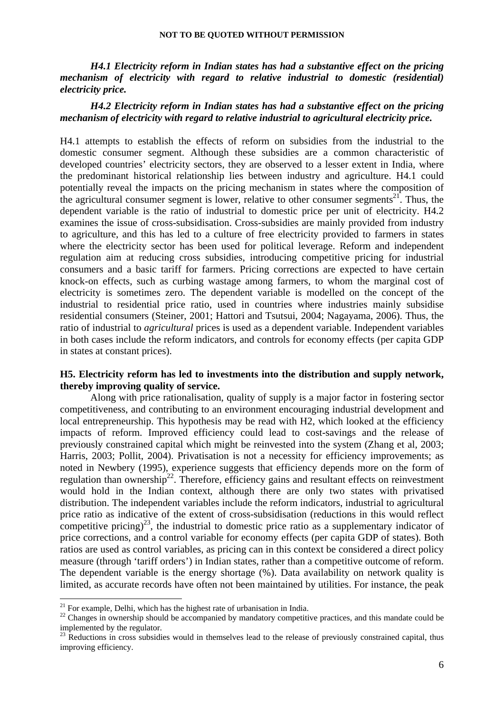*H4.1 Electricity reform in Indian states has had a substantive effect on the pricing mechanism of electricity with regard to relative industrial to domestic (residential) electricity price.* 

## *H4.2 Electricity reform in Indian states has had a substantive effect on the pricing mechanism of electricity with regard to relative industrial to agricultural electricity price.*

H4.1 attempts to establish the effects of reform on subsidies from the industrial to the domestic consumer segment. Although these subsidies are a common characteristic of developed countries' electricity sectors, they are observed to a lesser extent in India, where the predominant historical relationship lies between industry and agriculture. H4.1 could potentially reveal the impacts on the pricing mechanism in states where the composition of the agricultural consumer segment is lower, relative to other consumer segments<sup>21</sup>. Thus, the dependent variable is the ratio of industrial to domestic price per unit of electricity. H4.2 examines the issue of cross-subsidisation. Cross-subsidies are mainly provided from industry to agriculture, and this has led to a culture of free electricity provided to farmers in states where the electricity sector has been used for political leverage. Reform and independent regulation aim at reducing cross subsidies, introducing competitive pricing for industrial consumers and a basic tariff for farmers. Pricing corrections are expected to have certain knock-on effects, such as curbing wastage among farmers, to whom the marginal cost of electricity is sometimes zero. The dependent variable is modelled on the concept of the industrial to residential price ratio, used in countries where industries mainly subsidise residential consumers (Steiner, 2001; Hattori and Tsutsui, 2004; Nagayama, 2006). Thus, the ratio of industrial to *agricultural* prices is used as a dependent variable. Independent variables in both cases include the reform indicators, and controls for economy effects (per capita GDP in states at constant prices).

## **H5. Electricity reform has led to investments into the distribution and supply network, thereby improving quality of service.**

Along with price rationalisation, quality of supply is a major factor in fostering sector competitiveness, and contributing to an environment encouraging industrial development and local entrepreneurship. This hypothesis may be read with H2, which looked at the efficiency impacts of reform. Improved efficiency could lead to cost-savings and the release of previously constrained capital which might be reinvested into the system (Zhang et al, 2003; Harris, 2003; Pollit, 2004). Privatisation is not a necessity for efficiency improvements; as noted in Newbery (1995), experience suggests that efficiency depends more on the form of regulation than ownership<sup>22</sup>. Therefore, efficiency gains and resultant effects on reinvestment would hold in the Indian context, although there are only two states with privatised distribution. The independent variables include the reform indicators, industrial to agricultural price ratio as indicative of the extent of cross-subsidisation (reductions in this would reflect competitive pricing)<sup>23</sup>, the industrial to domestic price ratio as a supplementary indicator of price corrections, and a control variable for economy effects (per capita GDP of states). Both ratios are used as control variables, as pricing can in this context be considered a direct policy measure (through 'tariff orders') in Indian states, rather than a competitive outcome of reform. The dependent variable is the energy shortage (%). Data availability on network quality is limited, as accurate records have often not been maintained by utilities. For instance, the peak

<u>.</u>

 $21$  For example, Delhi, which has the highest rate of urbanisation in India.

<sup>&</sup>lt;sup>22</sup> Changes in ownership should be accompanied by mandatory competitive practices, and this mandate could be implemented by the regulator.

<sup>&</sup>lt;sup>23</sup> Reductions in cross subsidies would in themselves lead to the release of previously constrained capital, thus improving efficiency.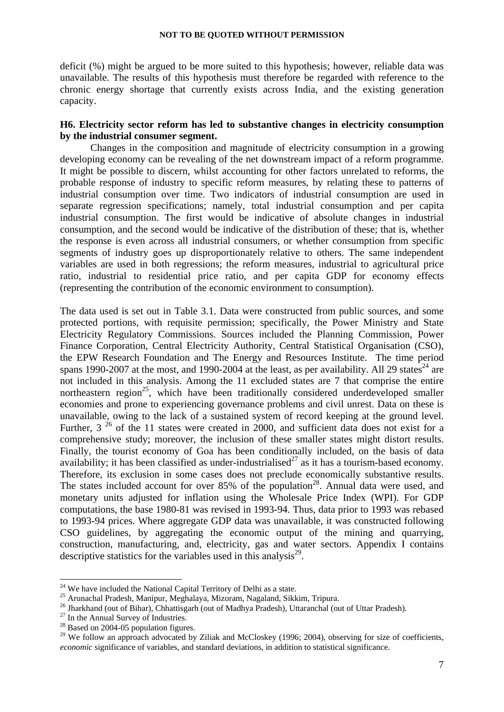deficit (%) might be argued to be more suited to this hypothesis; however, reliable data was unavailable. The results of this hypothesis must therefore be regarded with reference to the chronic energy shortage that currently exists across India, and the existing generation capacity.

## **H6. Electricity sector reform has led to substantive changes in electricity consumption by the industrial consumer segment.**

Changes in the composition and magnitude of electricity consumption in a growing developing economy can be revealing of the net downstream impact of a reform programme. It might be possible to discern, whilst accounting for other factors unrelated to reforms, the probable response of industry to specific reform measures, by relating these to patterns of industrial consumption over time. Two indicators of industrial consumption are used in separate regression specifications; namely, total industrial consumption and per capita industrial consumption. The first would be indicative of absolute changes in industrial consumption, and the second would be indicative of the distribution of these; that is, whether the response is even across all industrial consumers, or whether consumption from specific segments of industry goes up disproportionately relative to others. The same independent variables are used in both regressions; the reform measures, industrial to agricultural price ratio, industrial to residential price ratio, and per capita GDP for economy effects (representing the contribution of the economic environment to consumption).

The data used is set out in Table 3.1. Data were constructed from public sources, and some protected portions, with requisite permission; specifically, the Power Ministry and State Electricity Regulatory Commissions. Sources included the Planning Commission, Power Finance Corporation, Central Electricity Authority, Central Statistical Organisation (CSO), the EPW Research Foundation and The Energy and Resources Institute. The time period spans 1990-2007 at the most, and 1990-2004 at the least, as per availability. All 29 states<sup>24</sup> are not included in this analysis. Among the 11 excluded states are 7 that comprise the entire northeastern region<sup>25</sup>, which have been traditionally considered underdeveloped smaller economies and prone to experiencing governance problems and civil unrest. Data on these is unavailable, owing to the lack of a sustained system of record keeping at the ground level. Further,  $3^{26}$  of the 11 states were created in 2000, and sufficient data does not exist for a comprehensive study; moreover, the inclusion of these smaller states might distort results. Finally, the tourist economy of Goa has been conditionally included, on the basis of data availability; it has been classified as under-industrialised<sup>27</sup> as it has a tourism-based economy. Therefore, its exclusion in some cases does not preclude economically substantive results. The states included account for over  $85\%$  of the population<sup>28</sup>. Annual data were used, and monetary units adjusted for inflation using the Wholesale Price Index (WPI). For GDP computations, the base 1980-81 was revised in 1993-94. Thus, data prior to 1993 was rebased to 1993-94 prices. Where aggregate GDP data was unavailable, it was constructed following CSO guidelines, by aggregating the economic output of the mining and quarrying, construction, manufacturing, and, electricity, gas and water sectors. Appendix I contains descriptive statistics for the variables used in this analysis<sup>29</sup>.

 $24$  We have included the National Capital Territory of Delhi as a state.

<sup>&</sup>lt;sup>25</sup> Arunachal Pradesh, Manipur, Meghalaya, Mizoram, Nagaland, Sikkim, Tripura.<br><sup>26</sup> Jharkhand (out of Bihar), Chhattisgarh (out of Madhya Pradesh), Uttaranchal (out of Uttar Pradesh). <sup>27</sup> In the Annual Survey of Industr

<sup>&</sup>lt;sup>28</sup> Based on 2004-05 population figures.

<sup>&</sup>lt;sup>29</sup> We follow an approach advocated by Ziliak and McCloskey (1996; 2004), observing for size of coefficients, *economic* significance of variables, and standard deviations, in addition to statistical significance.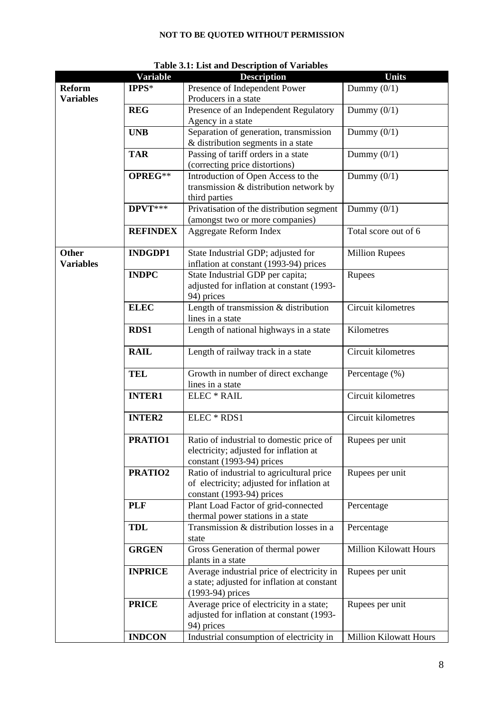|                                  | <b>Variable</b> | <b>Description</b>                                                                                                  | <b>Units</b>                  |
|----------------------------------|-----------------|---------------------------------------------------------------------------------------------------------------------|-------------------------------|
| <b>Reform</b>                    | IPPS*           | Presence of Independent Power                                                                                       | Dummy $(0/1)$                 |
| <b>Variables</b>                 |                 | Producers in a state                                                                                                |                               |
|                                  | <b>REG</b>      | Presence of an Independent Regulatory<br>Agency in a state                                                          | Dummy $(0/1)$                 |
|                                  | <b>UNB</b>      | Separation of generation, transmission<br>& distribution segments in a state                                        | Dummy $(0/1)$                 |
|                                  | <b>TAR</b>      | Passing of tariff orders in a state<br>(correcting price distortions)                                               | Dummy $(0/1)$                 |
|                                  | OPREG**         | Introduction of Open Access to the<br>transmission & distribution network by<br>third parties                       | Dummy $(0/1)$                 |
|                                  | DPVT***         | Privatisation of the distribution segment<br>(amongst two or more companies)                                        | Dummy $(0/1)$                 |
|                                  | <b>REFINDEX</b> | Aggregate Reform Index                                                                                              | Total score out of 6          |
| <b>Other</b><br><b>Variables</b> | <b>INDGDP1</b>  | State Industrial GDP; adjusted for<br>inflation at constant (1993-94) prices                                        | <b>Million Rupees</b>         |
|                                  | <b>INDPC</b>    | State Industrial GDP per capita;<br>adjusted for inflation at constant (1993-<br>94) prices                         | Rupees                        |
|                                  | <b>ELEC</b>     | Length of transmission & distribution<br>lines in a state                                                           | Circuit kilometres            |
|                                  | <b>RDS1</b>     | Length of national highways in a state                                                                              | Kilometres                    |
|                                  | <b>RAIL</b>     | Length of railway track in a state                                                                                  | Circuit kilometres            |
|                                  | <b>TEL</b>      | Growth in number of direct exchange<br>lines in a state                                                             | Percentage (%)                |
|                                  | <b>INTER1</b>   | <b>ELEC</b> * RAIL                                                                                                  | Circuit kilometres            |
|                                  | <b>INTER2</b>   | ELEC * RDS1                                                                                                         | Circuit kilometres            |
|                                  | PRATIO1         | Ratio of industrial to domestic price of<br>electricity; adjusted for inflation at<br>constant (1993-94) prices     | Rupees per unit               |
|                                  | PRATIO2         | Ratio of industrial to agricultural price<br>of electricity; adjusted for inflation at<br>constant (1993-94) prices | Rupees per unit               |
|                                  | <b>PLF</b>      | Plant Load Factor of grid-connected<br>thermal power stations in a state                                            | Percentage                    |
|                                  | <b>TDL</b>      | Transmission & distribution losses in a<br>state                                                                    | Percentage                    |
|                                  | <b>GRGEN</b>    | Gross Generation of thermal power<br>plants in a state                                                              | <b>Million Kilowatt Hours</b> |
|                                  | <b>INPRICE</b>  | Average industrial price of electricity in<br>a state; adjusted for inflation at constant<br>(1993-94) prices       | Rupees per unit               |
|                                  | <b>PRICE</b>    | Average price of electricity in a state;<br>adjusted for inflation at constant (1993-<br>94) prices                 | Rupees per unit               |
|                                  | <b>INDCON</b>   | Industrial consumption of electricity in                                                                            | <b>Million Kilowatt Hours</b> |

## **Table 3.1: List and Description of Variables**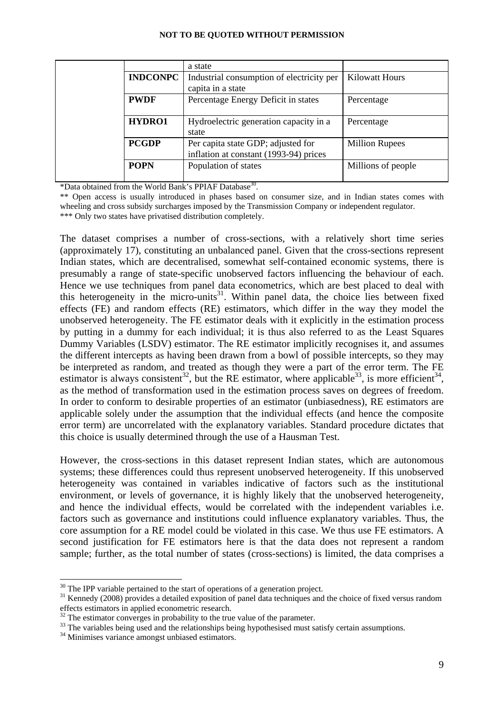|                 | a state                                                                      |                       |
|-----------------|------------------------------------------------------------------------------|-----------------------|
| <b>INDCONPC</b> | Industrial consumption of electricity per<br>capita in a state               | <b>Kilowatt Hours</b> |
| <b>PWDF</b>     | Percentage Energy Deficit in states                                          | Percentage            |
| HYDRO1          | Hydroelectric generation capacity in a<br>state                              | Percentage            |
| <b>PCGDP</b>    | Per capita state GDP; adjusted for<br>inflation at constant (1993-94) prices | <b>Million Rupees</b> |
| <b>POPN</b>     | Population of states                                                         | Millions of people    |

\*Data obtained from the World Bank's PPIAF Database30.

\*\* Open access is usually introduced in phases based on consumer size, and in Indian states comes with wheeling and cross subsidy surcharges imposed by the Transmission Company or independent regulator. \*\*\* Only two states have privatised distribution completely.

The dataset comprises a number of cross-sections, with a relatively short time series (approximately 17), constituting an unbalanced panel. Given that the cross-sections represent Indian states, which are decentralised, somewhat self-contained economic systems, there is presumably a range of state-specific unobserved factors influencing the behaviour of each. Hence we use techniques from panel data econometrics, which are best placed to deal with this heterogeneity in the micro-units<sup>31</sup>. Within panel data, the choice lies between fixed effects (FE) and random effects (RE) estimators, which differ in the way they model the unobserved heterogeneity. The FE estimator deals with it explicitly in the estimation process by putting in a dummy for each individual; it is thus also referred to as the Least Squares Dummy Variables (LSDV) estimator. The RE estimator implicitly recognises it, and assumes the different intercepts as having been drawn from a bowl of possible intercepts, so they may be interpreted as random, and treated as though they were a part of the error term. The FE estimator is always consistent<sup>32</sup>, but the RE estimator, where applicable<sup>33</sup>, is more efficient<sup>34</sup>, as the method of transformation used in the estimation process saves on degrees of freedom. In order to conform to desirable properties of an estimator (unbiasedness), RE estimators are applicable solely under the assumption that the individual effects (and hence the composite error term) are uncorrelated with the explanatory variables. Standard procedure dictates that this choice is usually determined through the use of a Hausman Test.

However, the cross-sections in this dataset represent Indian states, which are autonomous systems; these differences could thus represent unobserved heterogeneity. If this unobserved heterogeneity was contained in variables indicative of factors such as the institutional environment, or levels of governance, it is highly likely that the unobserved heterogeneity, and hence the individual effects, would be correlated with the independent variables i.e. factors such as governance and institutions could influence explanatory variables. Thus, the core assumption for a RE model could be violated in this case. We thus use FE estimators. A second justification for FE estimators here is that the data does not represent a random sample; further, as the total number of states (cross-sections) is limited, the data comprises a

 $30$  The IPP variable pertained to the start of operations of a generation project.

<sup>&</sup>lt;sup>31</sup> Kennedy (2008) provides a detailed exposition of panel data techniques and the choice of fixed versus random effects estimators in applied econometric research.

 $32$  The estimator converges in probability to the true value of the parameter.

<sup>&</sup>lt;sup>33</sup> The variables being used and the relationships being hypothesised must satisfy certain assumptions.

<sup>&</sup>lt;sup>34</sup> Minimises variance amongst unbiased estimators.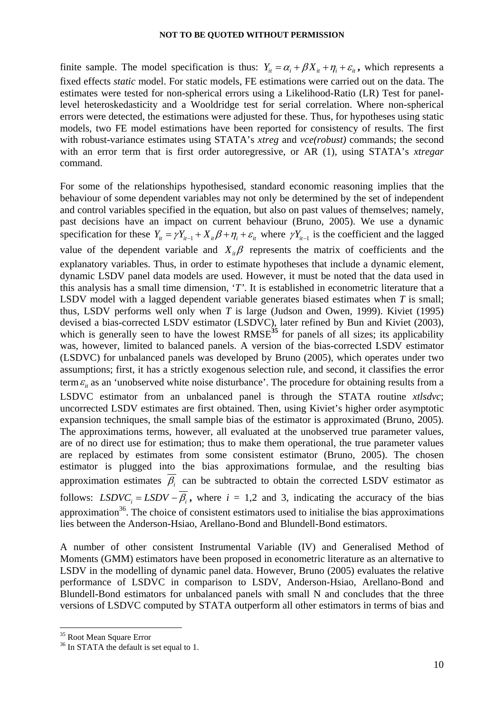finite sample. The model specification is thus:  $Y_i = \alpha_i + \beta X_i + \eta_i + \varepsilon_i$ , which represents a fixed effects *static* model. For static models, FE estimations were carried out on the data. The estimates were tested for non-spherical errors using a Likelihood-Ratio (LR) Test for panellevel heteroskedasticity and a Wooldridge test for serial correlation. Where non-spherical errors were detected, the estimations were adjusted for these. Thus, for hypotheses using static models, two FE model estimations have been reported for consistency of results. The first with robust-variance estimates using STATA's *xtreg* and *vce(robust)* commands; the second with an error term that is first order autoregressive, or AR (1), using STATA's *xtregar* command.

For some of the relationships hypothesised, standard economic reasoning implies that the behaviour of some dependent variables may not only be determined by the set of independent and control variables specified in the equation, but also on past values of themselves; namely, past decisions have an impact on current behaviour (Bruno, 2005). We use a dynamic specification for these  $Y_{it} = \gamma Y_{it-1} + X_{it} \beta + \eta_i + \varepsilon_{it}$  where  $\gamma Y_{it-1}$  is the coefficient and the lagged value of the dependent variable and  $X_i$ <sup>β</sup> represents the matrix of coefficients and the explanatory variables. Thus, in order to estimate hypotheses that include a dynamic element, dynamic LSDV panel data models are used. However, it must be noted that the data used in this analysis has a small time dimension, '*T'*. It is established in econometric literature that a LSDV model with a lagged dependent variable generates biased estimates when *T* is small; thus, LSDV performs well only when *T* is large (Judson and Owen, 1999). Kiviet (1995) devised a bias-corrected LSDV estimator (LSDVC), later refined by Bun and Kiviet (2003), which is generally seen to have the lowest RMSE<sup>35</sup> for panels of all sizes; its applicability was, however, limited to balanced panels. A version of the bias-corrected LSDV estimator (LSDVC) for unbalanced panels was developed by Bruno (2005), which operates under two assumptions; first, it has a strictly exogenous selection rule, and second, it classifies the error term  $\varepsilon$ <sub>*it*</sub> as an 'unobserved white noise disturbance'. The procedure for obtaining results from a LSDVC estimator from an unbalanced panel is through the STATA routine *xtlsdvc*; uncorrected LSDV estimates are first obtained. Then, using Kiviet's higher order asymptotic expansion techniques, the small sample bias of the estimator is approximated (Bruno, 2005). The approximations terms, however, all evaluated at the unobserved true parameter values, are of no direct use for estimation; thus to make them operational, the true parameter values are replaced by estimates from some consistent estimator (Bruno, 2005). The chosen estimator is plugged into the bias approximations formulae, and the resulting bias approximation estimates  $\overline{\beta_i}$  can be subtracted to obtain the corrected LSDV estimator as follows: *LSDVC*<sub>*i*</sub> = *LSDV*  $-\overline{\beta_i}$ , where *i* = 1,2 and 3, indicating the accuracy of the bias approximation $36$ . The choice of consistent estimators used to initialise the bias approximations lies between the Anderson-Hsiao, Arellano-Bond and Blundell-Bond estimators.

A number of other consistent Instrumental Variable (IV) and Generalised Method of Moments (GMM) estimators have been proposed in econometric literature as an alternative to LSDV in the modelling of dynamic panel data. However, Bruno (2005) evaluates the relative performance of LSDVC in comparison to LSDV, Anderson-Hsiao, Arellano-Bond and Blundell-Bond estimators for unbalanced panels with small N and concludes that the three versions of LSDVC computed by STATA outperform all other estimators in terms of bias and

<u>.</u>

<sup>&</sup>lt;sup>35</sup> Root Mean Square Error

<sup>&</sup>lt;sup>36</sup> In STATA the default is set equal to 1.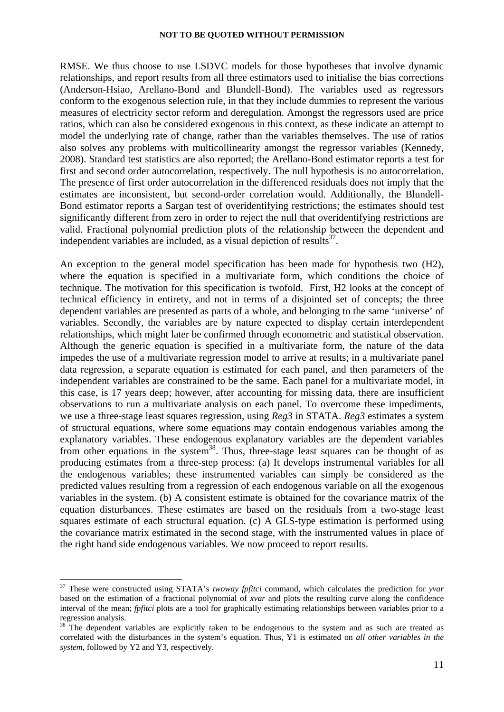RMSE. We thus choose to use LSDVC models for those hypotheses that involve dynamic relationships, and report results from all three estimators used to initialise the bias corrections (Anderson-Hsiao, Arellano-Bond and Blundell-Bond). The variables used as regressors conform to the exogenous selection rule, in that they include dummies to represent the various measures of electricity sector reform and deregulation. Amongst the regressors used are price ratios, which can also be considered exogenous in this context, as these indicate an attempt to model the underlying rate of change, rather than the variables themselves. The use of ratios also solves any problems with multicollinearity amongst the regressor variables (Kennedy, 2008). Standard test statistics are also reported; the Arellano-Bond estimator reports a test for first and second order autocorrelation, respectively. The null hypothesis is no autocorrelation. The presence of first order autocorrelation in the differenced residuals does not imply that the estimates are inconsistent, but second-order correlation would. Additionally, the Blundell-Bond estimator reports a Sargan test of overidentifying restrictions; the estimates should test significantly different from zero in order to reject the null that overidentifying restrictions are valid. Fractional polynomial prediction plots of the relationship between the dependent and independent variables are included, as a visual depiction of results  $37$ .

An exception to the general model specification has been made for hypothesis two (H2), where the equation is specified in a multivariate form, which conditions the choice of technique. The motivation for this specification is twofold. First, H2 looks at the concept of technical efficiency in entirety, and not in terms of a disjointed set of concepts; the three dependent variables are presented as parts of a whole, and belonging to the same 'universe' of variables. Secondly, the variables are by nature expected to display certain interdependent relationships, which might later be confirmed through econometric and statistical observation. Although the generic equation is specified in a multivariate form, the nature of the data impedes the use of a multivariate regression model to arrive at results; in a multivariate panel data regression, a separate equation is estimated for each panel, and then parameters of the independent variables are constrained to be the same. Each panel for a multivariate model, in this case, is 17 years deep; however, after accounting for missing data, there are insufficient observations to run a multivariate analysis on each panel. To overcome these impediments, we use a three-stage least squares regression, using *Reg3* in STATA. *Reg3* estimates a system of structural equations, where some equations may contain endogenous variables among the explanatory variables. These endogenous explanatory variables are the dependent variables from other equations in the system<sup>38</sup>. Thus, three-stage least squares can be thought of as producing estimates from a three-step process: (a) It develops instrumental variables for all the endogenous variables; these instrumented variables can simply be considered as the predicted values resulting from a regression of each endogenous variable on all the exogenous variables in the system. (b) A consistent estimate is obtained for the covariance matrix of the equation disturbances. These estimates are based on the residuals from a two-stage least squares estimate of each structural equation. (c) A GLS-type estimation is performed using the covariance matrix estimated in the second stage, with the instrumented values in place of the right hand side endogenous variables. We now proceed to report results.

<sup>37</sup> These were constructed using STATA's *twoway fpfitci* command, which calculates the prediction for *yvar* based on the estimation of a fractional polynomial of *xvar* and plots the resulting curve along the confidence interval of the mean; *fpfitci* plots are a tool for graphically estimating relationships between variables prior to a regression analysis.

<sup>&</sup>lt;sup>38</sup> The dependent variables are explicitly taken to be endogenous to the system and as such are treated as correlated with the disturbances in the system's equation. Thus, Y1 is estimated on *all other variables in the system*, followed by Y2 and Y3, respectively.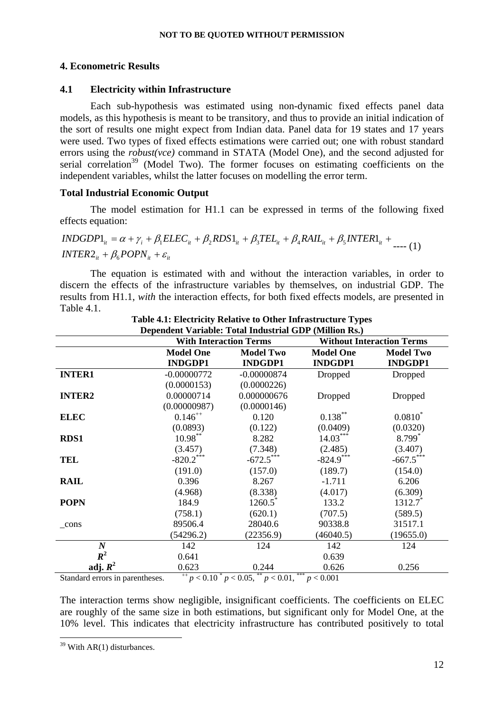#### **4. Econometric Results**

#### **4.1 Electricity within Infrastructure**

Each sub-hypothesis was estimated using non-dynamic fixed effects panel data models, as this hypothesis is meant to be transitory, and thus to provide an initial indication of the sort of results one might expect from Indian data. Panel data for 19 states and 17 years were used. Two types of fixed effects estimations were carried out; one with robust standard errors using the *robust(vce)* command in STATA (Model One), and the second adjusted for serial correlation<sup>39</sup> (Model Two). The former focuses on estimating coefficients on the independent variables, whilst the latter focuses on modelling the error term.

#### **Total Industrial Economic Output**

The model estimation for H1.1 can be expressed in terms of the following fixed effects equation:

$$
INDGDP1_{it} = \alpha + \gamma_i + \beta_1 E LEC_{it} + \beta_2 RDS1_{it} + \beta_3 TEL_{it} + \beta_4 RAIL_{it} + \beta_5 INTER1_{it} + \dots \tag{1}
$$
  

$$
INTER2_{it} + \beta_6 POPN_{it} + \varepsilon_{it}
$$

The equation is estimated with and without the interaction variables, in order to discern the effects of the infrastructure variables by themselves, on industrial GDP. The results from H1.1, *with* the interaction effects, for both fixed effects models, are presented in Table 4.1.

|                                 | Dependent Variable: Total Industrial GDP (Million Rs.)                                                     |                  |                  |                                  |  |
|---------------------------------|------------------------------------------------------------------------------------------------------------|------------------|------------------|----------------------------------|--|
|                                 | <b>With Interaction Terms</b>                                                                              |                  |                  | <b>Without Interaction Terms</b> |  |
|                                 | <b>Model One</b>                                                                                           | <b>Model Two</b> | <b>Model One</b> | <b>Model Two</b>                 |  |
|                                 | <b>INDGDP1</b>                                                                                             | <b>INDGDP1</b>   | <b>INDGDP1</b>   | <b>INDGDP1</b>                   |  |
| <b>INTER1</b>                   | $-0.00000772$                                                                                              | $-0.00000874$    | Dropped          | Dropped                          |  |
|                                 | (0.0000153)                                                                                                | (0.0000226)      |                  |                                  |  |
| <b>INTER2</b>                   | 0.00000714                                                                                                 | 0.000000676      | Dropped          | Dropped                          |  |
|                                 | (0.00000987)                                                                                               | (0.0000146)      |                  |                                  |  |
| <b>ELEC</b>                     | $0.146^{++}$                                                                                               | 0.120            | $0.138***$       | $0.0810^{*}$                     |  |
|                                 | (0.0893)                                                                                                   | (0.122)          | (0.0409)         | (0.0320)                         |  |
| RDS1                            | $10.98***$                                                                                                 | 8.282            | $14.03***$       | $8.799*$                         |  |
|                                 | (3.457)                                                                                                    | (7.348)          | (2.485)          | (3.407)                          |  |
| <b>TEL</b>                      | $-820.2$ ***                                                                                               | $-672.5***$      | $-824.9***$      | $-667.5$ ***                     |  |
|                                 | (191.0)                                                                                                    | (157.0)          | (189.7)          | (154.0)                          |  |
| <b>RAIL</b>                     | 0.396                                                                                                      | 8.267            | $-1.711$         | 6.206                            |  |
|                                 | (4.968)                                                                                                    | (8.338)          | (4.017)          | (6.309)                          |  |
| <b>POPN</b>                     | 184.9                                                                                                      | $1260.5^*$       | 133.2            | 1312.7                           |  |
|                                 | (758.1)                                                                                                    | (620.1)          | (707.5)          | (589.5)                          |  |
| $_{\rm cons}$                   | 89506.4                                                                                                    | 28040.6          | 90338.8          | 31517.1                          |  |
|                                 | (54296.2)                                                                                                  | (22356.9)        | (46040.5)        | (19655.0)                        |  |
| $\boldsymbol{N}$                | 142                                                                                                        | 124              | 142              | 124                              |  |
| $R^2$                           | 0.641                                                                                                      |                  | 0.639            |                                  |  |
| adj. $R^2$                      | 0.623                                                                                                      | 0.244            | 0.626            | 0.256                            |  |
| $C$ tondoud omono in novemboggo | ***<br>$^{++}$ $\sim$ 0.10 <sup>*</sup> $\sim$ 0.05 <sup>**</sup> $\sim$ 0.01<br>$\approx$ $\approx$ 0.001 |                  |                  |                                  |  |

**Table 4.1: Electricity Relative to Other Infrastructure Types** 

Standard errors in parentheses.  $^{++}p < 0.10^{+}p < 0.05, ^{**}p < 0.01, ^{***}p < 0.001$ 

The interaction terms show negligible, insignificant coefficients. The coefficients on ELEC are roughly of the same size in both estimations, but significant only for Model One, at the 10% level. This indicates that electricity infrastructure has contributed positively to total

<sup>1</sup>  $39$  With AR(1) disturbances.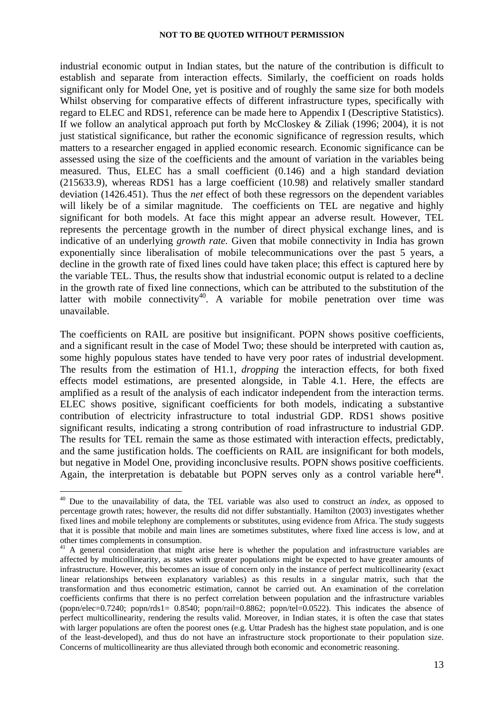industrial economic output in Indian states, but the nature of the contribution is difficult to establish and separate from interaction effects. Similarly, the coefficient on roads holds significant only for Model One, yet is positive and of roughly the same size for both models Whilst observing for comparative effects of different infrastructure types, specifically with regard to ELEC and RDS1, reference can be made here to Appendix I (Descriptive Statistics). If we follow an analytical approach put forth by McCloskey & Ziliak (1996; 2004), it is not just statistical significance, but rather the economic significance of regression results, which matters to a researcher engaged in applied economic research. Economic significance can be assessed using the size of the coefficients and the amount of variation in the variables being measured. Thus, ELEC has a small coefficient (0.146) and a high standard deviation (215633.9), whereas RDS1 has a large coefficient (10.98) and relatively smaller standard deviation (1426.451). Thus the *net* effect of both these regressors on the dependent variables will likely be of a similar magnitude. The coefficients on TEL are negative and highly significant for both models. At face this might appear an adverse result. However, TEL represents the percentage growth in the number of direct physical exchange lines, and is indicative of an underlying *growth rate.* Given that mobile connectivity in India has grown exponentially since liberalisation of mobile telecommunications over the past 5 years, a decline in the growth rate of fixed lines could have taken place; this effect is captured here by the variable TEL. Thus, the results show that industrial economic output is related to a decline in the growth rate of fixed line connections, which can be attributed to the substitution of the latter with mobile connectivity<sup>40</sup>. A variable for mobile penetration over time was unavailable.

The coefficients on RAIL are positive but insignificant. POPN shows positive coefficients, and a significant result in the case of Model Two; these should be interpreted with caution as, some highly populous states have tended to have very poor rates of industrial development. The results from the estimation of H1.1, *dropping* the interaction effects, for both fixed effects model estimations, are presented alongside, in Table 4.1. Here, the effects are amplified as a result of the analysis of each indicator independent from the interaction terms. ELEC shows positive, significant coefficients for both models, indicating a substantive contribution of electricity infrastructure to total industrial GDP. RDS1 shows positive significant results, indicating a strong contribution of road infrastructure to industrial GDP. The results for TEL remain the same as those estimated with interaction effects, predictably, and the same justification holds. The coefficients on RAIL are insignificant for both models, but negative in Model One, providing inconclusive results. POPN shows positive coefficients. Again, the interpretation is debatable but POPN serves only as a control variable here**<sup>41</sup>**.

<sup>40</sup> Due to the unavailability of data, the TEL variable was also used to construct an *index*, as opposed to percentage growth rates; however, the results did not differ substantially. Hamilton (2003) investigates whether fixed lines and mobile telephony are complements or substitutes, using evidence from Africa. The study suggests that it is possible that mobile and main lines are sometimes substitutes, where fixed line access is low, and at other times complements in consumption.

<sup>&</sup>lt;sup>41</sup> A general consideration that might arise here is whether the population and infrastructure variables are affected by multicollinearity, as states with greater populations might be expected to have greater amounts of infrastructure. However, this becomes an issue of concern only in the instance of perfect multicollinearity (exact linear relationships between explanatory variables) as this results in a singular matrix, such that the transformation and thus econometric estimation, cannot be carried out. An examination of the correlation coefficients confirms that there is no perfect correlation between population and the infrastructure variables (popn/elec=0.7240; popn/rds1=  $0.8540$ ; popn/rail=0.8862; popn/tel=0.0522). This indicates the absence of perfect multicollinearity, rendering the results valid. Moreover, in Indian states, it is often the case that states with larger populations are often the poorest ones (e.g. Uttar Pradesh has the highest state population, and is one of the least-developed), and thus do not have an infrastructure stock proportionate to their population size. Concerns of multicollinearity are thus alleviated through both economic and econometric reasoning.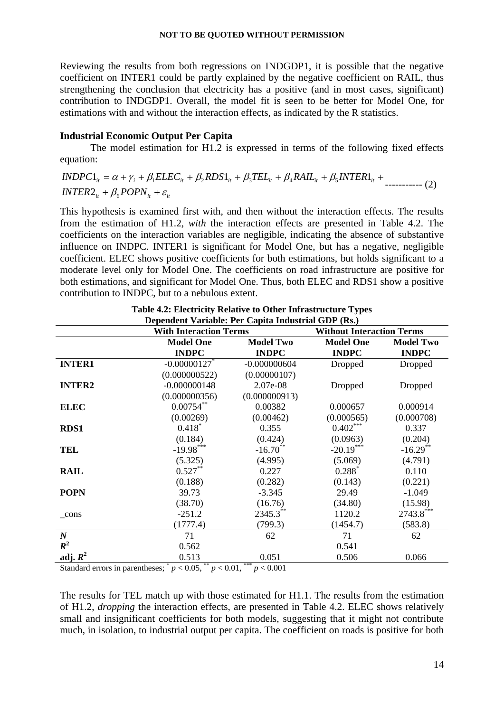Reviewing the results from both regressions on INDGDP1, it is possible that the negative coefficient on INTER1 could be partly explained by the negative coefficient on RAIL, thus strengthening the conclusion that electricity has a positive (and in most cases, significant) contribution to INDGDP1. Overall, the model fit is seen to be better for Model One, for estimations with and without the interaction effects, as indicated by the R statistics.

## **Industrial Economic Output Per Capita**

The model estimation for H1.2 is expressed in terms of the following fixed effects equation:

 $INDPC1_{it} = \alpha + \gamma_i + \beta_1 E LEC_{it} + \beta_2 RDS1_{it} + \beta_3 TEL_{it} + \beta_4 RAIL_{it} + \beta_5 INTER1_{it} +$  $\textit{INTER2}_{it} + \beta_{6}\textit{POPN}_{it} + \varepsilon_{it}$ ----------- (2)

This hypothesis is examined first with, and then without the interaction effects. The results from the estimation of H1.2, *with* the interaction effects are presented in Table 4.2. The coefficients on the interaction variables are negligible, indicating the absence of substantive influence on INDPC. INTER1 is significant for Model One, but has a negative, negligible coefficient. ELEC shows positive coefficients for both estimations, but holds significant to a moderate level only for Model One. The coefficients on road infrastructure are positive for both estimations, and significant for Model One. Thus, both ELEC and RDS1 show a positive contribution to INDPC, but to a nebulous extent.

|                  | Dependent variable. Fer Capita muustrial ODT (1857)<br><b>With Interaction Terms</b> |                  | <b>Without Interaction Terms</b> |                  |
|------------------|--------------------------------------------------------------------------------------|------------------|----------------------------------|------------------|
|                  | <b>Model One</b>                                                                     | <b>Model Two</b> | <b>Model One</b>                 | <b>Model Two</b> |
|                  | <b>INDPC</b>                                                                         | <b>INDPC</b>     | <b>INDPC</b>                     | <b>INDPC</b>     |
| <b>INTER1</b>    | $-0.00000127$                                                                        | $-0.000000604$   | Dropped                          | Dropped          |
|                  | (0.000000522)                                                                        | (0.00000107)     |                                  |                  |
| <b>INTER2</b>    | $-0.000000148$                                                                       | 2.07e-08         | Dropped                          | Dropped          |
|                  | (0.000000356)                                                                        | (0.000000913)    |                                  |                  |
| <b>ELEC</b>      | $0.00754***$                                                                         | 0.00382          | 0.000657                         | 0.000914         |
|                  | (0.00269)                                                                            | (0.00462)        | (0.000565)                       | (0.000708)       |
| <b>RDS1</b>      | $0.418*$                                                                             | 0.355            | $0.402***$                       | 0.337            |
|                  | (0.184)                                                                              | (0.424)          | (0.0963)                         | (0.204)          |
| <b>TEL</b>       | $-19.98***$                                                                          | $-16.70**$       | $-20.19***$                      | $-16.29$ **      |
|                  | (5.325)                                                                              | (4.995)          | (5.069)                          | (4.791)          |
| <b>RAIL</b>      | $0.527***$                                                                           | 0.227            | $0.288*$                         | 0.110            |
|                  | (0.188)                                                                              | (0.282)          | (0.143)                          | (0.221)          |
| <b>POPN</b>      | 39.73                                                                                | $-3.345$         | 29.49                            | $-1.049$         |
|                  | (38.70)                                                                              | (16.76)          | (34.80)                          | (15.98)          |
| $_{\rm cons}$    | $-251.2$                                                                             | $2345.3***$      | 1120.2                           | $2743.8***$      |
|                  | (1777.4)                                                                             | (799.3)          | (1454.7)                         | (583.8)          |
| $\boldsymbol{N}$ | 71                                                                                   | 62               | 71                               | 62               |
| $R^2$            | 0.562                                                                                |                  | 0.541                            |                  |
| adj. $R^2$       | 0.513                                                                                | 0.051            | 0.506                            | 0.066            |

| Table 4.2: Electricity Relative to Other Infrastructure Types |
|---------------------------------------------------------------|
| Dependent Variable: Per Capita Industrial GDP (Rs.)           |

Standard errors in parentheses;  $p < 0.05$ ,  $p < 0.01$ ,  $p < 0.001$ 

The results for TEL match up with those estimated for H1.1. The results from the estimation of H1.2, *dropping* the interaction effects, are presented in Table 4.2. ELEC shows relatively small and insignificant coefficients for both models, suggesting that it might not contribute much, in isolation, to industrial output per capita. The coefficient on roads is positive for both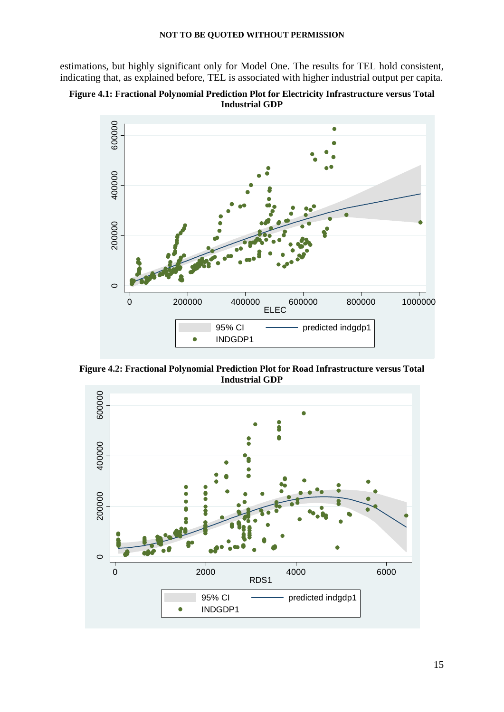estimations, but highly significant only for Model One. The results for TEL hold consistent, indicating that, as explained before, TEL is associated with higher industrial output per capita.





**Figure 4.2: Fractional Polynomial Prediction Plot for Road Infrastructure versus Total Industrial GDP** 

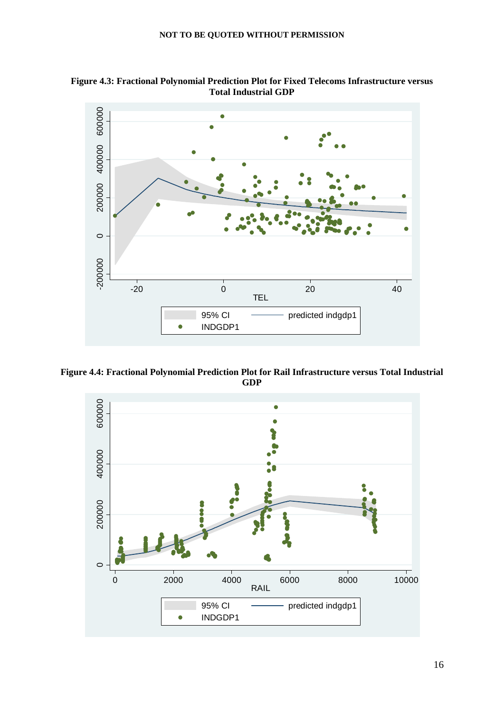**Figure 4.3: Fractional Polynomial Prediction Plot for Fixed Telecoms Infrastructure versus Total Industrial GDP** 



**Figure 4.4: Fractional Polynomial Prediction Plot for Rail Infrastructure versus Total Industrial GDP** 

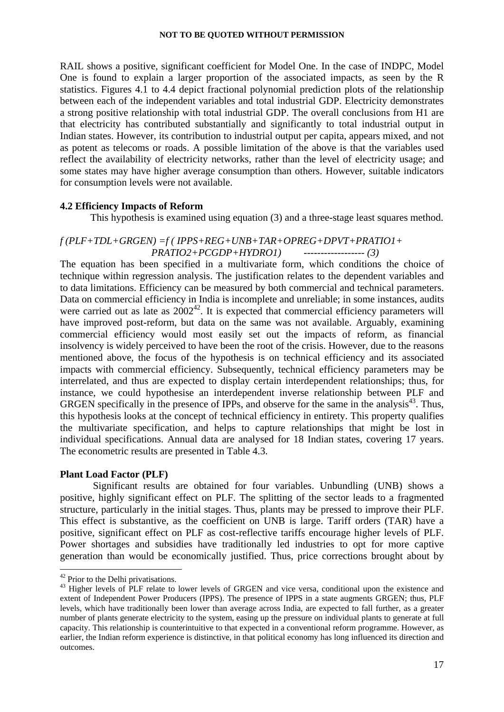RAIL shows a positive, significant coefficient for Model One. In the case of INDPC, Model One is found to explain a larger proportion of the associated impacts, as seen by the R statistics. Figures 4.1 to 4.4 depict fractional polynomial prediction plots of the relationship between each of the independent variables and total industrial GDP. Electricity demonstrates a strong positive relationship with total industrial GDP. The overall conclusions from H1 are that electricity has contributed substantially and significantly to total industrial output in Indian states. However, its contribution to industrial output per capita, appears mixed, and not as potent as telecoms or roads. A possible limitation of the above is that the variables used reflect the availability of electricity networks, rather than the level of electricity usage; and some states may have higher average consumption than others. However, suitable indicators for consumption levels were not available.

## **4.2 Efficiency Impacts of Reform**

This hypothesis is examined using equation (3) and a three-stage least squares method.

## *f (PLF+TDL+GRGEN) =f ( IPPS+REG+UNB+TAR+OPREG+DPVT+PRATIO1+ PRATIO2+PCGDP+HYDRO1) ------------------ (3)*

The equation has been specified in a multivariate form, which conditions the choice of technique within regression analysis. The justification relates to the dependent variables and to data limitations. Efficiency can be measured by both commercial and technical parameters. Data on commercial efficiency in India is incomplete and unreliable; in some instances, audits were carried out as late as  $2002^{42}$ . It is expected that commercial efficiency parameters will have improved post-reform, but data on the same was not available. Arguably, examining commercial efficiency would most easily set out the impacts of reform, as financial insolvency is widely perceived to have been the root of the crisis. However, due to the reasons mentioned above, the focus of the hypothesis is on technical efficiency and its associated impacts with commercial efficiency. Subsequently, technical efficiency parameters may be interrelated, and thus are expected to display certain interdependent relationships; thus, for instance, we could hypothesise an interdependent inverse relationship between PLF and GRGEN specifically in the presence of IPPs, and observe for the same in the analysis<sup>43</sup>. Thus, this hypothesis looks at the concept of technical efficiency in entirety. This property qualifies the multivariate specification, and helps to capture relationships that might be lost in individual specifications. Annual data are analysed for 18 Indian states, covering 17 years. The econometric results are presented in Table 4.3.

## **Plant Load Factor (PLF)**

Significant results are obtained for four variables. Unbundling (UNB) shows a positive, highly significant effect on PLF. The splitting of the sector leads to a fragmented structure, particularly in the initial stages. Thus, plants may be pressed to improve their PLF. This effect is substantive, as the coefficient on UNB is large. Tariff orders (TAR) have a positive, significant effect on PLF as cost-reflective tariffs encourage higher levels of PLF. Power shortages and subsidies have traditionally led industries to opt for more captive generation than would be economically justified. Thus, price corrections brought about by

<u>.</u>

<sup>&</sup>lt;sup>42</sup> Prior to the Delhi privatisations.

<sup>&</sup>lt;sup>43</sup> Higher levels of PLF relate to lower levels of GRGEN and vice versa, conditional upon the existence and extent of Independent Power Producers (IPPS). The presence of IPPS in a state augments GRGEN; thus, PLF levels, which have traditionally been lower than average across India, are expected to fall further, as a greater number of plants generate electricity to the system, easing up the pressure on individual plants to generate at full capacity. This relationship is counterintuitive to that expected in a conventional reform programme. However, as earlier, the Indian reform experience is distinctive, in that political economy has long influenced its direction and outcomes.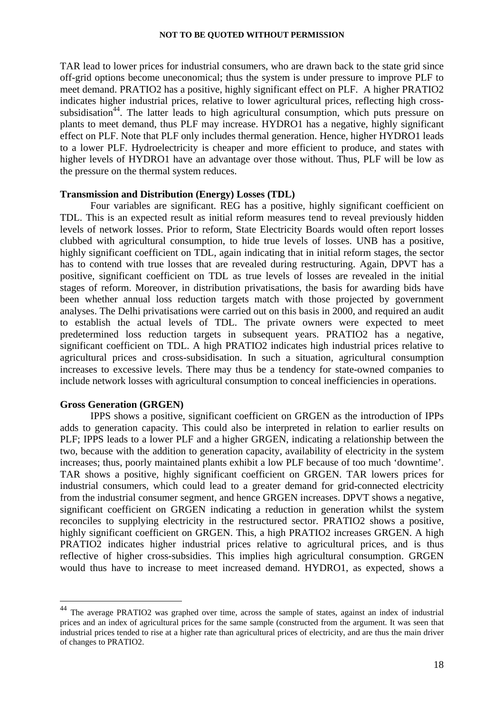TAR lead to lower prices for industrial consumers, who are drawn back to the state grid since off-grid options become uneconomical; thus the system is under pressure to improve PLF to meet demand. PRATIO2 has a positive, highly significant effect on PLF. A higher PRATIO2 indicates higher industrial prices, relative to lower agricultural prices, reflecting high crosssubsidisation<sup>44</sup>. The latter leads to high agricultural consumption, which puts pressure on plants to meet demand, thus PLF may increase. HYDRO1 has a negative, highly significant effect on PLF. Note that PLF only includes thermal generation. Hence, higher HYDRO1 leads to a lower PLF. Hydroelectricity is cheaper and more efficient to produce, and states with higher levels of HYDRO1 have an advantage over those without. Thus, PLF will be low as the pressure on the thermal system reduces.

#### **Transmission and Distribution (Energy) Losses (TDL)**

Four variables are significant. REG has a positive, highly significant coefficient on TDL. This is an expected result as initial reform measures tend to reveal previously hidden levels of network losses. Prior to reform, State Electricity Boards would often report losses clubbed with agricultural consumption, to hide true levels of losses. UNB has a positive, highly significant coefficient on TDL, again indicating that in initial reform stages, the sector has to contend with true losses that are revealed during restructuring. Again, DPVT has a positive, significant coefficient on TDL as true levels of losses are revealed in the initial stages of reform. Moreover, in distribution privatisations, the basis for awarding bids have been whether annual loss reduction targets match with those projected by government analyses. The Delhi privatisations were carried out on this basis in 2000, and required an audit to establish the actual levels of TDL. The private owners were expected to meet predetermined loss reduction targets in subsequent years. PRATIO2 has a negative, significant coefficient on TDL. A high PRATIO2 indicates high industrial prices relative to agricultural prices and cross-subsidisation. In such a situation, agricultural consumption increases to excessive levels. There may thus be a tendency for state-owned companies to include network losses with agricultural consumption to conceal inefficiencies in operations.

## **Gross Generation (GRGEN)**

1

IPPS shows a positive, significant coefficient on GRGEN as the introduction of IPPs adds to generation capacity. This could also be interpreted in relation to earlier results on PLF; IPPS leads to a lower PLF and a higher GRGEN, indicating a relationship between the two, because with the addition to generation capacity, availability of electricity in the system increases; thus, poorly maintained plants exhibit a low PLF because of too much 'downtime'. TAR shows a positive, highly significant coefficient on GRGEN. TAR lowers prices for industrial consumers, which could lead to a greater demand for grid-connected electricity from the industrial consumer segment, and hence GRGEN increases. DPVT shows a negative, significant coefficient on GRGEN indicating a reduction in generation whilst the system reconciles to supplying electricity in the restructured sector. PRATIO2 shows a positive, highly significant coefficient on GRGEN. This, a high PRATIO2 increases GRGEN. A high PRATIO2 indicates higher industrial prices relative to agricultural prices, and is thus reflective of higher cross-subsidies. This implies high agricultural consumption. GRGEN would thus have to increase to meet increased demand. HYDRO1, as expected, shows a

<sup>&</sup>lt;sup>44</sup> The average PRATIO2 was graphed over time, across the sample of states, against an index of industrial prices and an index of agricultural prices for the same sample (constructed from the argument. It was seen that industrial prices tended to rise at a higher rate than agricultural prices of electricity, and are thus the main driver of changes to PRATIO2.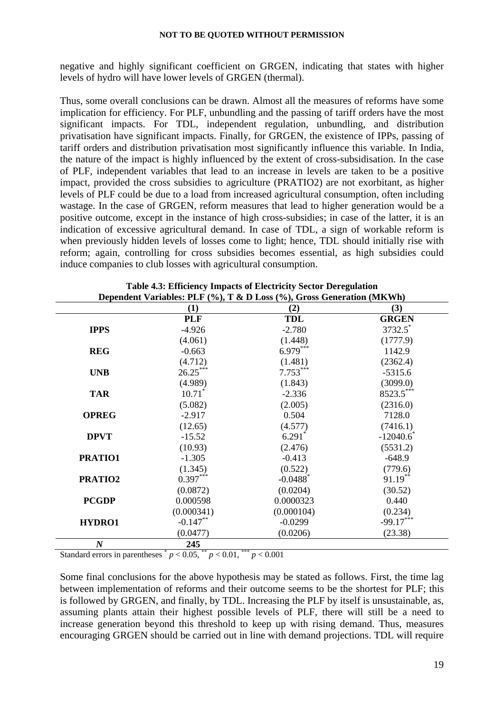negative and highly significant coefficient on GRGEN, indicating that states with higher levels of hydro will have lower levels of GRGEN (thermal).

Thus, some overall conclusions can be drawn. Almost all the measures of reforms have some implication for efficiency. For PLF, unbundling and the passing of tariff orders have the most significant impacts. For TDL, independent regulation, unbundling, and distribution privatisation have significant impacts. Finally, for GRGEN, the existence of IPPs, passing of tariff orders and distribution privatisation most significantly influence this variable. In India, the nature of the impact is highly influenced by the extent of cross-subsidisation. In the case of PLF, independent variables that lead to an increase in levels are taken to be a positive impact, provided the cross subsidies to agriculture (PRATIO2) are not exorbitant, as higher levels of PLF could be due to a load from increased agricultural consumption, often including wastage. In the case of GRGEN, reform measures that lead to higher generation would be a positive outcome, except in the instance of high cross-subsidies; in case of the latter, it is an indication of excessive agricultural demand. In case of TDL, a sign of workable reform is when previously hidden levels of losses come to light; hence, TDL should initially rise with reform; again, controlling for cross subsidies becomes essential, as high subsidies could induce companies to club losses with agricultural consumption.

|                  | (1)        | (2)                    | (3)                 |
|------------------|------------|------------------------|---------------------|
|                  | <b>PLF</b> | <b>TDL</b>             | <b>GRGEN</b>        |
| <b>IPPS</b>      | $-4.926$   | $-2.780$               | 3732.5 <sup>*</sup> |
|                  | (4.061)    | (1.448)                | (1777.9)            |
| <b>REG</b>       | $-0.663$   | $6.979***$             | 1142.9              |
|                  | (4.712)    | (1.481)                | (2362.4)            |
| <b>UNB</b>       | $26.25***$ | $7.753***$             | $-5315.6$           |
|                  | (4.989)    | (1.843)                | (3099.0)            |
| <b>TAR</b>       | $10.71^*$  | $-2.336$               | $8523.5***$         |
|                  | (5.082)    | (2.005)                | (2316.0)            |
| <b>OPREG</b>     | $-2.917$   | 0.504                  | 7128.0              |
|                  | (12.65)    | (4.577)                | (7416.1)            |
| <b>DPVT</b>      | $-15.52$   | 6.291                  | $-12040.6$          |
|                  | (10.93)    | (2.476)                | (5531.2)            |
| PRATIO1          | $-1.305$   | $-0.413$               | $-648.9$            |
|                  | (1.345)    | (0.522)                | (779.6)             |
| PRATIO2          | $0.397***$ | $-0.0488$ <sup>*</sup> | $91.19***$          |
|                  | (0.0872)   | (0.0204)               | (30.52)             |
| <b>PCGDP</b>     | 0.000598   | 0.0000323              | 0.440               |
|                  | (0.000341) | (0.000104)             | (0.234)             |
| HYDRO1           | $-0.147**$ | $-0.0299$              | $-99.17***$         |
|                  | (0.0477)   | (0.0206)               | (23.38)             |
| $\boldsymbol{N}$ | 245        |                        |                     |

| <b>Table 4.3: Efficiency Impacts of Electricity Sector Deregulation</b>                                                                                                                                                                                                                                                                                                            |  |
|------------------------------------------------------------------------------------------------------------------------------------------------------------------------------------------------------------------------------------------------------------------------------------------------------------------------------------------------------------------------------------|--|
| $\mathbf{r}_{\mathbf{d},\mathbf{d}}$ of $\mathbf{v}_{\mathbf{d},\mathbf{d}}$ of $\mathbf{r}_{\mathbf{d},\mathbf{d}}$ of $\mathbf{r}_{\mathbf{d},\mathbf{d}}$ of $\mathbf{r}_{\mathbf{d},\mathbf{d}}$ of $\mathbf{r}_{\mathbf{d},\mathbf{d}}$ of $\mathbf{r}_{\mathbf{d},\mathbf{d}}$ or $\mathbf{r}_{\mathbf{d},\mathbf{d}}$ or $\mathbf{r}_{\mathbf{d},\mathbf{d}}$ or $\mathbf{$ |  |

Standard errors in parentheses  $p < 0.05$ ,  $\binom{4}{3}$   $p < 0.01$ ,  $\binom{4}{3}$   $p < 0.001$ 

Some final conclusions for the above hypothesis may be stated as follows. First, the time lag between implementation of reforms and their outcome seems to be the shortest for PLF; this is followed by GRGEN, and finally, by TDL. Increasing the PLF by itself is unsustainable, as, assuming plants attain their highest possible levels of PLF, there will still be a need to increase generation beyond this threshold to keep up with rising demand. Thus, measures encouraging GRGEN should be carried out in line with demand projections. TDL will require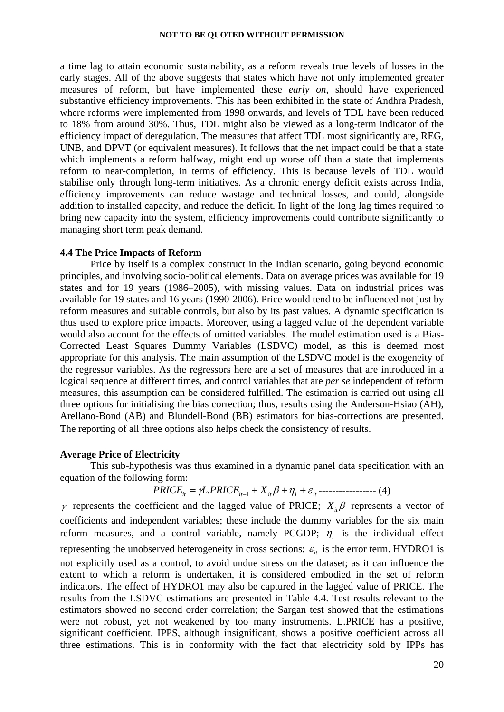a time lag to attain economic sustainability, as a reform reveals true levels of losses in the early stages. All of the above suggests that states which have not only implemented greater measures of reform, but have implemented these *early on*, should have experienced substantive efficiency improvements. This has been exhibited in the state of Andhra Pradesh, where reforms were implemented from 1998 onwards, and levels of TDL have been reduced to 18% from around 30%. Thus, TDL might also be viewed as a long-term indicator of the efficiency impact of deregulation. The measures that affect TDL most significantly are, REG, UNB, and DPVT (or equivalent measures). It follows that the net impact could be that a state which implements a reform halfway, might end up worse off than a state that implements reform to near-completion, in terms of efficiency. This is because levels of TDL would stabilise only through long-term initiatives. As a chronic energy deficit exists across India, efficiency improvements can reduce wastage and technical losses, and could, alongside addition to installed capacity, and reduce the deficit. In light of the long lag times required to bring new capacity into the system, efficiency improvements could contribute significantly to managing short term peak demand.

#### **4.4 The Price Impacts of Reform**

Price by itself is a complex construct in the Indian scenario, going beyond economic principles, and involving socio-political elements. Data on average prices was available for 19 states and for 19 years (1986–2005), with missing values. Data on industrial prices was available for 19 states and 16 years (1990-2006). Price would tend to be influenced not just by reform measures and suitable controls, but also by its past values. A dynamic specification is thus used to explore price impacts. Moreover, using a lagged value of the dependent variable would also account for the effects of omitted variables. The model estimation used is a Bias-Corrected Least Squares Dummy Variables (LSDVC) model, as this is deemed most appropriate for this analysis. The main assumption of the LSDVC model is the exogeneity of the regressor variables. As the regressors here are a set of measures that are introduced in a logical sequence at different times, and control variables that are *per se* independent of reform measures, this assumption can be considered fulfilled. The estimation is carried out using all three options for initialising the bias correction; thus, results using the Anderson-Hsiao (AH), Arellano-Bond (AB) and Blundell-Bond (BB) estimators for bias-corrections are presented. The reporting of all three options also helps check the consistency of results.

#### **Average Price of Electricity**

This sub-hypothesis was thus examined in a dynamic panel data specification with an equation of the following form:

# $PRICE_{ii} = \gamma L.PRICE_{ii-1} + X_{ii}\beta + \eta_i + \varepsilon_{ii}$  ------------------ (4)

γ represents the coefficient and the lagged value of PRICE;  $X_i$ β represents a vector of coefficients and independent variables; these include the dummy variables for the six main reform measures, and a control variable, namely PCGDP;  $\eta_i$  is the individual effect representing the unobserved heterogeneity in cross sections;  $\varepsilon_{it}$  is the error term. HYDRO1 is not explicitly used as a control, to avoid undue stress on the dataset; as it can influence the extent to which a reform is undertaken, it is considered embodied in the set of reform indicators. The effect of HYDRO1 may also be captured in the lagged value of PRICE. The results from the LSDVC estimations are presented in Table 4.4. Test results relevant to the estimators showed no second order correlation; the Sargan test showed that the estimations were not robust, yet not weakened by too many instruments. L.PRICE has a positive, significant coefficient. IPPS, although insignificant, shows a positive coefficient across all three estimations. This is in conformity with the fact that electricity sold by IPPs has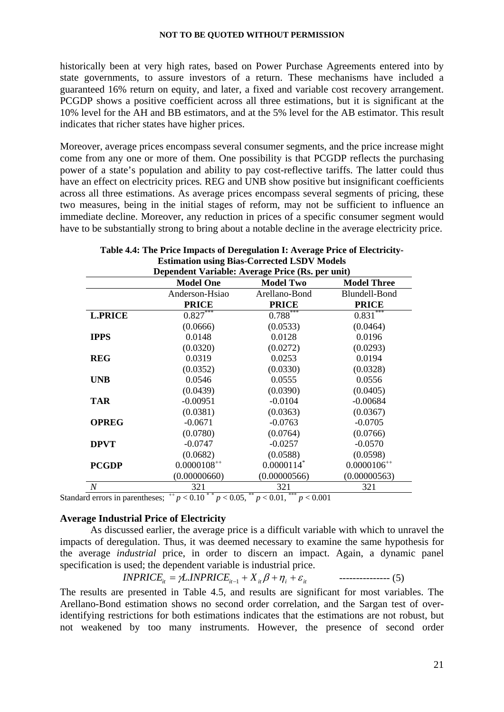historically been at very high rates, based on Power Purchase Agreements entered into by state governments, to assure investors of a return. These mechanisms have included a guaranteed 16% return on equity, and later, a fixed and variable cost recovery arrangement. PCGDP shows a positive coefficient across all three estimations, but it is significant at the 10% level for the AH and BB estimators, and at the 5% level for the AB estimator. This result indicates that richer states have higher prices.

Moreover, average prices encompass several consumer segments, and the price increase might come from any one or more of them. One possibility is that PCGDP reflects the purchasing power of a state's population and ability to pay cost-reflective tariffs. The latter could thus have an effect on electricity prices. REG and UNB show positive but insignificant coefficients across all three estimations. As average prices encompass several segments of pricing, these two measures, being in the initial stages of reform, may not be sufficient to influence an immediate decline. Moreover, any reduction in prices of a specific consumer segment would have to be substantially strong to bring about a notable decline in the average electricity price.

|                  | Dependent Variable: Average Price (Rs. per unit) |                  |                    |
|------------------|--------------------------------------------------|------------------|--------------------|
|                  | <b>Model One</b>                                 | <b>Model Two</b> | <b>Model Three</b> |
|                  | Anderson-Hsiao                                   | Arellano-Bond    | Blundell-Bond      |
|                  | <b>PRICE</b>                                     | <b>PRICE</b>     | <b>PRICE</b>       |
| <b>L.PRICE</b>   | $0.827***$                                       | $0.788***$       | $0.831***$         |
|                  | (0.0666)                                         | (0.0533)         | (0.0464)           |
| <b>IPPS</b>      | 0.0148                                           | 0.0128           | 0.0196             |
|                  | (0.0320)                                         | (0.0272)         | (0.0293)           |
| <b>REG</b>       | 0.0319                                           | 0.0253           | 0.0194             |
|                  | (0.0352)                                         | (0.0330)         | (0.0328)           |
| <b>UNB</b>       | 0.0546                                           | 0.0555           | 0.0556             |
|                  | (0.0439)                                         | (0.0390)         | (0.0405)           |
| <b>TAR</b>       | $-0.00951$                                       | $-0.0104$        | $-0.00684$         |
|                  | (0.0381)                                         | (0.0363)         | (0.0367)           |
| <b>OPREG</b>     | $-0.0671$                                        | $-0.0763$        | $-0.0705$          |
|                  | (0.0780)                                         | (0.0764)         | (0.0766)           |
| <b>DPVT</b>      | $-0.0747$                                        | $-0.0257$        | $-0.0570$          |
|                  | (0.0682)                                         | (0.0588)         | (0.0598)           |
| <b>PCGDP</b>     | $0.0000108^{++}$                                 | 0.0000114        | $0.0000106^{++}$   |
|                  | (0.00000660)                                     | (0.00000566)     | (0.00000563)       |
| $\boldsymbol{N}$ | 321                                              | 321              | 321                |

| Table 4.4: The Price Impacts of Deregulation I: Average Price of Electricity- |
|-------------------------------------------------------------------------------|
| <b>Estimation using Bias-Corrected LSDV Models</b>                            |
| $\mathbf{n}$ is in the $\mathbf{n}$ is the $\mathbf{n}$                       |

Standard errors in parentheses;  $^{++}p < 0.10^{+*}p < 0.05$ ,  $^{**}p < 0.01$ ,  $^{***}p < 0.001$ 

#### **Average Industrial Price of Electricity**

 As discussed earlier, the average price is a difficult variable with which to unravel the impacts of deregulation. Thus, it was deemed necessary to examine the same hypothesis for the average *industrial* price, in order to discern an impact. Again, a dynamic panel specification is used; the dependent variable is industrial price.

$$
INPRICE_{it} = \gamma L. INPRICE_{it-1} + X_{it} \beta + \eta_i + \varepsilon_{it} \qquad \qquad \text{---}
$$

The results are presented in Table 4.5, and results are significant for most variables. The Arellano-Bond estimation shows no second order correlation, and the Sargan test of overidentifying restrictions for both estimations indicates that the estimations are not robust, but not weakened by too many instruments. However, the presence of second order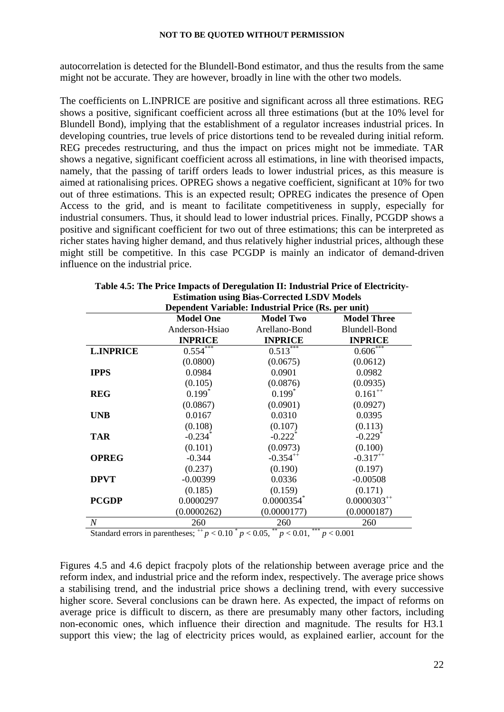autocorrelation is detected for the Blundell-Bond estimator, and thus the results from the same might not be accurate. They are however, broadly in line with the other two models.

The coefficients on L.INPRICE are positive and significant across all three estimations. REG shows a positive, significant coefficient across all three estimations (but at the 10% level for Blundell Bond), implying that the establishment of a regulator increases industrial prices. In developing countries, true levels of price distortions tend to be revealed during initial reform. REG precedes restructuring, and thus the impact on prices might not be immediate. TAR shows a negative, significant coefficient across all estimations, in line with theorised impacts, namely, that the passing of tariff orders leads to lower industrial prices, as this measure is aimed at rationalising prices. OPREG shows a negative coefficient, significant at 10% for two out of three estimations. This is an expected result; OPREG indicates the presence of Open Access to the grid, and is meant to facilitate competitiveness in supply, especially for industrial consumers. Thus, it should lead to lower industrial prices. Finally, PCGDP shows a positive and significant coefficient for two out of three estimations; this can be interpreted as richer states having higher demand, and thus relatively higher industrial prices, although these might still be competitive. In this case PCGDP is mainly an indicator of demand-driven influence on the industrial price.

|                  |                       | <b>ESUMATION USING DIAS-COLLUCTURE ESD V MOULES</b> |                       |
|------------------|-----------------------|-----------------------------------------------------|-----------------------|
|                  |                       | Dependent Variable: Industrial Price (Rs. per unit) |                       |
|                  | <b>Model One</b>      | <b>Model Two</b>                                    | <b>Model Three</b>    |
|                  | Anderson-Hsiao        | Arellano-Bond                                       | <b>Blundell-Bond</b>  |
|                  | <b>INPRICE</b>        | <b>INPRICE</b>                                      | <b>INPRICE</b>        |
| <b>L.INPRICE</b> | $0.554***$            | $0.513***$                                          | $0.606***$            |
|                  | (0.0800)              | (0.0675)                                            | (0.0612)              |
| <b>IPPS</b>      | 0.0984                | 0.0901                                              | 0.0982                |
|                  | (0.105)               | (0.0876)                                            | (0.0935)              |
| <b>REG</b>       | $0.199*$              | $0.199*$                                            | $0.161^{++}$          |
|                  | (0.0867)              | (0.0901)                                            | (0.0927)              |
| <b>UNB</b>       | 0.0167                | 0.0310                                              | 0.0395                |
|                  | (0.108)               | (0.107)                                             | (0.113)               |
| <b>TAR</b>       | $-0.234$ <sup>*</sup> | $-0.222$ <sup>*</sup>                               | $-0.229$ <sup>*</sup> |
|                  | (0.101)               | (0.0973)                                            | (0.100)               |
| <b>OPREG</b>     | $-0.344$              | $-0.354^{++}$                                       | $-0.317^{++}$         |
|                  | (0.237)               | (0.190)                                             | (0.197)               |
| <b>DPVT</b>      | $-0.00399$            | 0.0336                                              | $-0.00508$            |
|                  | (0.185)               | (0.159)                                             | (0.171)               |
| <b>PCGDP</b>     | 0.0000297             | 0.0000354                                           | $0.0000303^{++}$      |
|                  | (0.0000262)           | (0.0000177)                                         | (0.0000187)           |
| $\boldsymbol{N}$ | 260                   | 260                                                 | 260                   |

| Table 4.5: The Price Impacts of Deregulation II: Industrial Price of Electricity- |
|-----------------------------------------------------------------------------------|
| <b>Estimation using Bias-Corrected LSDV Models</b>                                |

Standard errors in parentheses;  $^{++}p < 0.10^{+}p < 0.05$ ,  $^{**}p < 0.01$ ,  $^{***}p < 0.001$ 

Figures 4.5 and 4.6 depict fracpoly plots of the relationship between average price and the reform index, and industrial price and the reform index, respectively. The average price shows a stabilising trend, and the industrial price shows a declining trend, with every successive higher score. Several conclusions can be drawn here. As expected, the impact of reforms on average price is difficult to discern, as there are presumably many other factors, including non-economic ones, which influence their direction and magnitude. The results for H3.1 support this view; the lag of electricity prices would, as explained earlier, account for the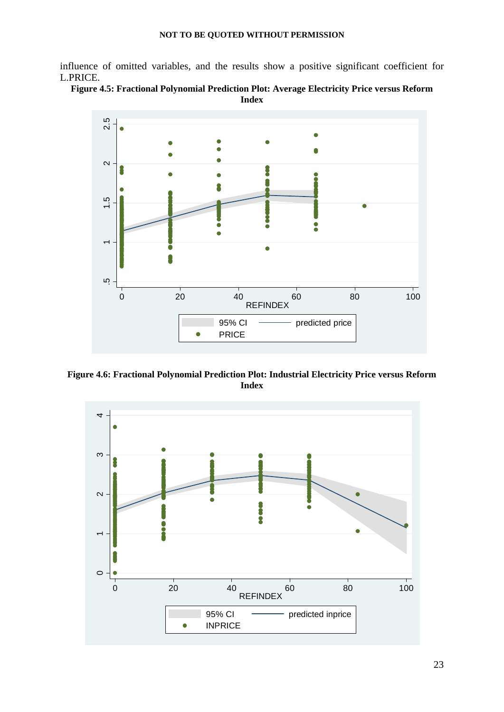influence of omitted variables, and the results show a positive significant coefficient for L.PRICE.





**Figure 4.6: Fractional Polynomial Prediction Plot: Industrial Electricity Price versus Reform Index** 

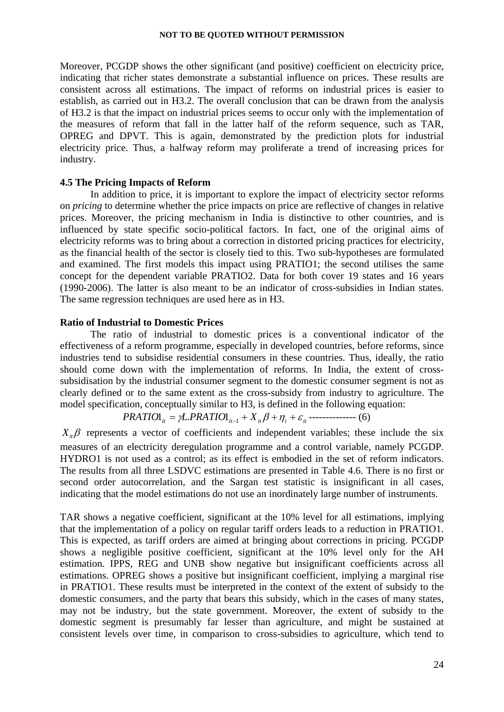Moreover, PCGDP shows the other significant (and positive) coefficient on electricity price, indicating that richer states demonstrate a substantial influence on prices. These results are consistent across all estimations. The impact of reforms on industrial prices is easier to establish, as carried out in H3.2. The overall conclusion that can be drawn from the analysis of H3.2 is that the impact on industrial prices seems to occur only with the implementation of the measures of reform that fall in the latter half of the reform sequence, such as TAR, OPREG and DPVT. This is again, demonstrated by the prediction plots for industrial electricity price. Thus, a halfway reform may proliferate a trend of increasing prices for industry.

#### **4.5 The Pricing Impacts of Reform**

In addition to price, it is important to explore the impact of electricity sector reforms on *pricing* to determine whether the price impacts on price are reflective of changes in relative prices. Moreover, the pricing mechanism in India is distinctive to other countries, and is influenced by state specific socio-political factors. In fact, one of the original aims of electricity reforms was to bring about a correction in distorted pricing practices for electricity, as the financial health of the sector is closely tied to this. Two sub-hypotheses are formulated and examined. The first models this impact using PRATIO1; the second utilises the same concept for the dependent variable PRATIO2. Data for both cover 19 states and 16 years (1990-2006). The latter is also meant to be an indicator of cross-subsidies in Indian states. The same regression techniques are used here as in H3.

#### **Ratio of Industrial to Domestic Prices**

The ratio of industrial to domestic prices is a conventional indicator of the effectiveness of a reform programme, especially in developed countries, before reforms, since industries tend to subsidise residential consumers in these countries. Thus, ideally, the ratio should come down with the implementation of reforms. In India, the extent of crosssubsidisation by the industrial consumer segment to the domestic consumer segment is not as clearly defined or to the same extent as the cross-subsidy from industry to agriculture. The model specification, conceptually similar to H3, is defined in the following equation:

**PRATIONAL**<sub>it</sub> = 
$$
\gamma L.PRATIO1_{it-1} + X_{it}\beta + \eta_i + \varepsilon_{it}
$$
-----(6)

 $X_i$ β represents a vector of coefficients and independent variables; these include the six measures of an electricity deregulation programme and a control variable, namely PCGDP. HYDRO1 is not used as a control; as its effect is embodied in the set of reform indicators. The results from all three LSDVC estimations are presented in Table 4.6. There is no first or second order autocorrelation, and the Sargan test statistic is insignificant in all cases, indicating that the model estimations do not use an inordinately large number of instruments.

TAR shows a negative coefficient, significant at the 10% level for all estimations, implying that the implementation of a policy on regular tariff orders leads to a reduction in PRATIO1. This is expected, as tariff orders are aimed at bringing about corrections in pricing. PCGDP shows a negligible positive coefficient, significant at the 10% level only for the AH estimation. IPPS, REG and UNB show negative but insignificant coefficients across all estimations. OPREG shows a positive but insignificant coefficient, implying a marginal rise in PRATIO1. These results must be interpreted in the context of the extent of subsidy to the domestic consumers, and the party that bears this subsidy, which in the cases of many states, may not be industry, but the state government. Moreover, the extent of subsidy to the domestic segment is presumably far lesser than agriculture, and might be sustained at consistent levels over time, in comparison to cross-subsidies to agriculture, which tend to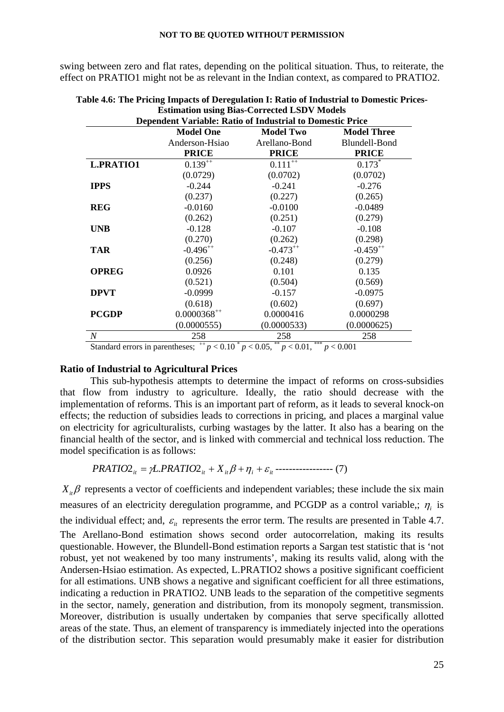swing between zero and flat rates, depending on the political situation. Thus, to reiterate, the effect on PRATIO1 might not be as relevant in the Indian context, as compared to PRATIO2.

| <b>Dependent Variable: Ratio of Industrial to Domestic Price</b> |                  |                  |                    |  |
|------------------------------------------------------------------|------------------|------------------|--------------------|--|
|                                                                  | <b>Model One</b> | <b>Model Two</b> | <b>Model Three</b> |  |
|                                                                  | Anderson-Hsiao   | Arellano-Bond    | Blundell-Bond      |  |
|                                                                  | <b>PRICE</b>     | <b>PRICE</b>     | <b>PRICE</b>       |  |
| <b>L.PRATIO1</b>                                                 | $0.139^{++}$     | $0.111^{++}$     | $0.173*$           |  |
|                                                                  | (0.0729)         | (0.0702)         | (0.0702)           |  |
| <b>IPPS</b>                                                      | $-0.244$         | $-0.241$         | $-0.276$           |  |
|                                                                  | (0.237)          | (0.227)          | (0.265)            |  |
| <b>REG</b>                                                       | $-0.0160$        | $-0.0100$        | $-0.0489$          |  |
|                                                                  | (0.262)          | (0.251)          | (0.279)            |  |
| <b>UNB</b>                                                       | $-0.128$         | $-0.107$         | $-0.108$           |  |
|                                                                  | (0.270)          | (0.262)          | (0.298)            |  |
| <b>TAR</b>                                                       | $-0.496^{++}$    | $-0.473^{++}$    | $-0.459^{++}$      |  |
|                                                                  | (0.256)          | (0.248)          | (0.279)            |  |
| <b>OPREG</b>                                                     | 0.0926           | 0.101            | 0.135              |  |
|                                                                  | (0.521)          | (0.504)          | (0.569)            |  |
| <b>DPVT</b>                                                      | $-0.0999$        | $-0.157$         | $-0.0975$          |  |
|                                                                  | (0.618)          | (0.602)          | (0.697)            |  |
| <b>PCGDP</b>                                                     | $0.0000368^{++}$ | 0.0000416        | 0.0000298          |  |
|                                                                  | (0.0000555)      | (0.0000533)      | (0.0000625)        |  |
| $\boldsymbol{N}$                                                 | 258              | 258              | 258                |  |

| Table 4.6: The Pricing Impacts of Deregulation I: Ratio of Industrial to Domestic Prices- |
|-------------------------------------------------------------------------------------------|
| <b>Estimation using Bias-Corrected LSDV Models</b>                                        |
|                                                                                           |

#### **Ratio of Industrial to Agricultural Prices**

This sub-hypothesis attempts to determine the impact of reforms on cross-subsidies that flow from industry to agriculture. Ideally, the ratio should decrease with the implementation of reforms. This is an important part of reform, as it leads to several knock-on effects; the reduction of subsidies leads to corrections in pricing, and places a marginal value on electricity for agriculturalists, curbing wastages by the latter. It also has a bearing on the financial health of the sector, and is linked with commercial and technical loss reduction. The model specification is as follows:

$$
PRATIO2_{it} = \gamma L.PRATIO2_{it} + X_{it}\beta + \eta_i + \varepsilon_{it}
$$
-----(7)

 $X_i$ β represents a vector of coefficients and independent variables; these include the six main measures of an electricity deregulation programme, and PCGDP as a control variable,;  $\eta_i$  is the individual effect; and,  $\varepsilon$ <sub>*i*</sub> represents the error term. The results are presented in Table 4.7. The Arellano-Bond estimation shows second order autocorrelation, making its results questionable. However, the Blundell-Bond estimation reports a Sargan test statistic that is 'not robust, yet not weakened by too many instruments', making its results valid, along with the Andersen-Hsiao estimation. As expected, L.PRATIO2 shows a positive significant coefficient for all estimations. UNB shows a negative and significant coefficient for all three estimations, indicating a reduction in PRATIO2. UNB leads to the separation of the competitive segments in the sector, namely, generation and distribution, from its monopoly segment, transmission. Moreover, distribution is usually undertaken by companies that serve specifically allotted areas of the state. Thus, an element of transparency is immediately injected into the operations of the distribution sector. This separation would presumably make it easier for distribution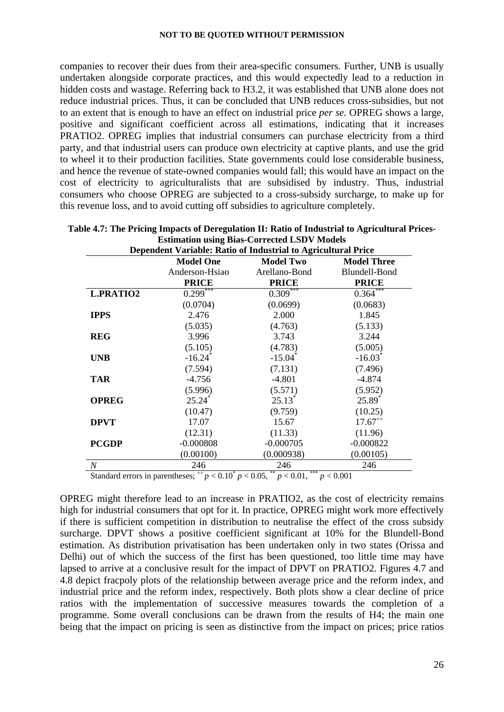companies to recover their dues from their area-specific consumers. Further, UNB is usually undertaken alongside corporate practices, and this would expectedly lead to a reduction in hidden costs and wastage. Referring back to H3.2, it was established that UNB alone does not reduce industrial prices. Thus, it can be concluded that UNB reduces cross-subsidies, but not to an extent that is enough to have an effect on industrial price *per se.* OPREG shows a large, positive and significant coefficient across all estimations, indicating that it increases PRATIO2. OPREG implies that industrial consumers can purchase electricity from a third party, and that industrial users can produce own electricity at captive plants, and use the grid to wheel it to their production facilities. State governments could lose considerable business, and hence the revenue of state-owned companies would fall; this would have an impact on the cost of electricity to agriculturalists that are subsidised by industry. Thus, industrial consumers who choose OPREG are subjected to a cross-subsidy surcharge, to make up for this revenue loss, and to avoid cutting off subsidies to agriculture completely.

| Dependent Variable: Ratio of Industrial to Agricultural Price |                       |                       |                       |  |  |  |  |
|---------------------------------------------------------------|-----------------------|-----------------------|-----------------------|--|--|--|--|
|                                                               | <b>Model One</b>      | <b>Model Two</b>      | <b>Model Three</b>    |  |  |  |  |
|                                                               | Anderson-Hsiao        | Arellano-Bond         | Blundell-Bond         |  |  |  |  |
|                                                               | <b>PRICE</b>          | <b>PRICE</b>          | <b>PRICE</b>          |  |  |  |  |
| <b>L.PRATIO2</b>                                              | $0.299***$            | $0.309***$            | $0.364***$            |  |  |  |  |
|                                                               | (0.0704)              | (0.0699)              | (0.0683)              |  |  |  |  |
| <b>IPPS</b>                                                   | 2.476                 | 2.000                 | 1.845                 |  |  |  |  |
|                                                               | (5.035)               | (4.763)               | (5.133)               |  |  |  |  |
| <b>REG</b>                                                    | 3.996                 | 3.743                 | 3.244                 |  |  |  |  |
|                                                               | (5.105)               | (4.783)               | (5.005)               |  |  |  |  |
| <b>UNB</b>                                                    | $-16.24$ <sup>*</sup> | $-15.04$ <sup>*</sup> | $-16.03$ <sup>*</sup> |  |  |  |  |
|                                                               | (7.594)               | (7.131)               | (7.496)               |  |  |  |  |
| <b>TAR</b>                                                    | $-4.756$              | $-4.801$              | $-4.874$              |  |  |  |  |
|                                                               | (5.996)               | (5.571)               | (5.952)               |  |  |  |  |
| <b>OPREG</b>                                                  | $25.24^*$             | $25.13^*$             | $25.89*$              |  |  |  |  |
|                                                               | (10.47)               | (9.759)               | (10.25)               |  |  |  |  |
| <b>DPVT</b>                                                   | 17.07                 | 15.67                 | $17.67^{++}$          |  |  |  |  |
|                                                               | (12.31)               | (11.33)               | (11.96)               |  |  |  |  |
| <b>PCGDP</b>                                                  | $-0.000808$           | $-0.000705$           | $-0.000822$           |  |  |  |  |
|                                                               | (0.00100)             | (0.000938)            | (0.00105)             |  |  |  |  |
| $\boldsymbol{N}$                                              | 246                   | 246                   | 246                   |  |  |  |  |

| Table 4.7: The Pricing Impacts of Deregulation II: Ratio of Industrial to Agricultural Prices- |
|------------------------------------------------------------------------------------------------|
| <b>Estimation using Bias-Corrected LSDV Models</b>                                             |

Standard errors in parentheses;  $^{++}p < 0.10^{+}p < 0.05$ ,  $^{++}p < 0.01$ ,  $^{++}p < 0.001$ 

OPREG might therefore lead to an increase in PRATIO2, as the cost of electricity remains high for industrial consumers that opt for it. In practice, OPREG might work more effectively if there is sufficient competition in distribution to neutralise the effect of the cross subsidy surcharge. DPVT shows a positive coefficient significant at 10% for the Blundell-Bond estimation. As distribution privatisation has been undertaken only in two states (Orissa and Delhi) out of which the success of the first has been questioned, too little time may have lapsed to arrive at a conclusive result for the impact of DPVT on PRATIO2. Figures 4.7 and 4.8 depict fracpoly plots of the relationship between average price and the reform index, and industrial price and the reform index, respectively. Both plots show a clear decline of price ratios with the implementation of successive measures towards the completion of a programme. Some overall conclusions can be drawn from the results of H4; the main one being that the impact on pricing is seen as distinctive from the impact on prices; price ratios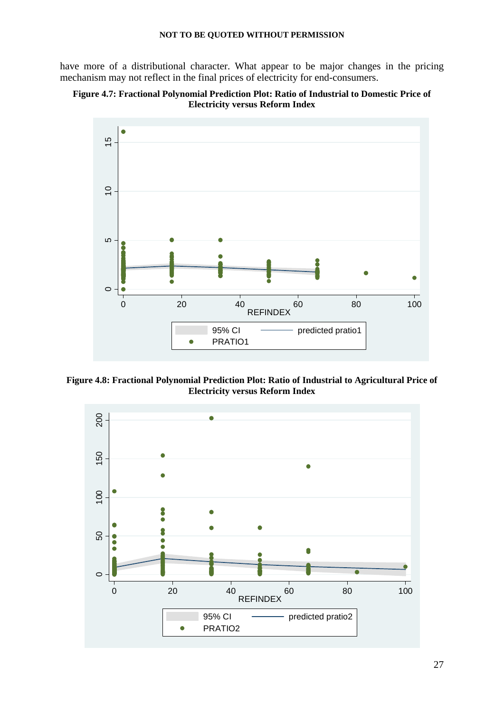have more of a distributional character. What appear to be major changes in the pricing mechanism may not reflect in the final prices of electricity for end-consumers.





**Figure 4.8: Fractional Polynomial Prediction Plot: Ratio of Industrial to Agricultural Price of Electricity versus Reform Index**

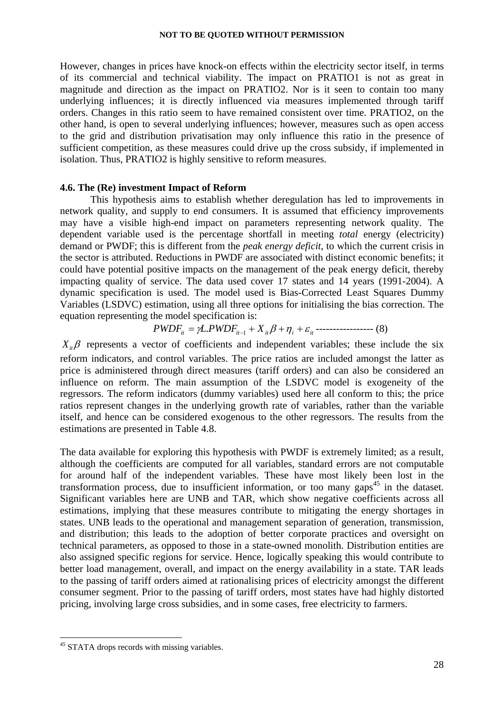However, changes in prices have knock-on effects within the electricity sector itself, in terms of its commercial and technical viability. The impact on PRATIO1 is not as great in magnitude and direction as the impact on PRATIO2. Nor is it seen to contain too many underlying influences; it is directly influenced via measures implemented through tariff orders. Changes in this ratio seem to have remained consistent over time. PRATIO2, on the other hand, is open to several underlying influences; however, measures such as open access to the grid and distribution privatisation may only influence this ratio in the presence of sufficient competition, as these measures could drive up the cross subsidy, if implemented in isolation. Thus, PRATIO2 is highly sensitive to reform measures.

#### **4.6. The (Re) investment Impact of Reform**

This hypothesis aims to establish whether deregulation has led to improvements in network quality, and supply to end consumers. It is assumed that efficiency improvements may have a visible high-end impact on parameters representing network quality. The dependent variable used is the percentage shortfall in meeting *total* energy (electricity) demand or PWDF; this is different from the *peak energy deficit*, to which the current crisis in the sector is attributed. Reductions in PWDF are associated with distinct economic benefits; it could have potential positive impacts on the management of the peak energy deficit, thereby impacting quality of service. The data used cover 17 states and 14 years (1991-2004). A dynamic specification is used. The model used is Bias-Corrected Least Squares Dummy Variables (LSDVC) estimation, using all three options for initialising the bias correction. The equation representing the model specification is:

# $PWDF_{it} = \gamma L.PWDF_{it-1} + X_{it} \beta + \eta_i + \varepsilon_{it}$  ------------------ (8)

 $X_i$ β represents a vector of coefficients and independent variables; these include the six reform indicators, and control variables. The price ratios are included amongst the latter as price is administered through direct measures (tariff orders) and can also be considered an influence on reform. The main assumption of the LSDVC model is exogeneity of the regressors. The reform indicators (dummy variables) used here all conform to this; the price ratios represent changes in the underlying growth rate of variables, rather than the variable itself, and hence can be considered exogenous to the other regressors. The results from the estimations are presented in Table 4.8.

The data available for exploring this hypothesis with PWDF is extremely limited; as a result, although the coefficients are computed for all variables, standard errors are not computable for around half of the independent variables. These have most likely been lost in the transformation process, due to insufficient information, or too many gaps<sup>45</sup> in the dataset. Significant variables here are UNB and TAR, which show negative coefficients across all estimations, implying that these measures contribute to mitigating the energy shortages in states. UNB leads to the operational and management separation of generation, transmission, and distribution; this leads to the adoption of better corporate practices and oversight on technical parameters, as opposed to those in a state-owned monolith. Distribution entities are also assigned specific regions for service. Hence, logically speaking this would contribute to better load management, overall, and impact on the energy availability in a state. TAR leads to the passing of tariff orders aimed at rationalising prices of electricity amongst the different consumer segment. Prior to the passing of tariff orders, most states have had highly distorted pricing, involving large cross subsidies, and in some cases, free electricity to farmers.

<sup>&</sup>lt;sup>45</sup> STATA drops records with missing variables.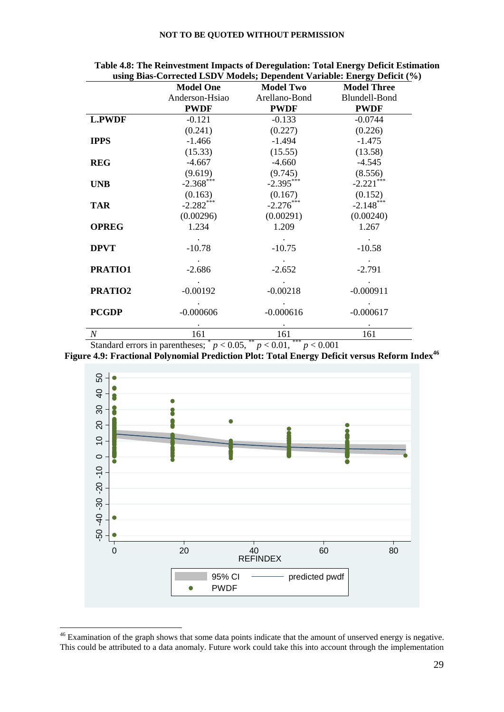|                  | <b>Model One</b> | <b>Model Two</b> | $\mu_{\text{SMB}}$ Dias Corrected LOD $\tau$ Models, Dependent $\tau$ ariable. Energy Dener (70)<br><b>Model Three</b> |
|------------------|------------------|------------------|------------------------------------------------------------------------------------------------------------------------|
|                  | Anderson-Hsiao   | Arellano-Bond    | Blundell-Bond                                                                                                          |
|                  | <b>PWDF</b>      | <b>PWDF</b>      | <b>PWDF</b>                                                                                                            |
| <b>L.PWDF</b>    | $-0.121$         | $-0.133$         | $-0.0744$                                                                                                              |
|                  | (0.241)          | (0.227)          | (0.226)                                                                                                                |
| <b>IPPS</b>      | $-1.466$         | $-1.494$         | $-1.475$                                                                                                               |
|                  | (15.33)          | (15.55)          | (13.58)                                                                                                                |
| <b>REG</b>       | $-4.667$         | $-4.660$         | $-4.545$                                                                                                               |
|                  | (9.619)          | (9.745)          | (8.556)                                                                                                                |
| <b>UNB</b>       | $-2.368$ ***     | $-2.395***$      | $-2.221$ ***                                                                                                           |
|                  | (0.163)          | (0.167)          | (0.152)                                                                                                                |
| <b>TAR</b>       | $-2.282***$      | $-2.276***$      | $-2.148***$                                                                                                            |
|                  | (0.00296)        | (0.00291)        | (0.00240)                                                                                                              |
| <b>OPREG</b>     | 1.234            | 1.209            | 1.267                                                                                                                  |
|                  |                  |                  |                                                                                                                        |
| <b>DPVT</b>      | $-10.78$         | $-10.75$         | $-10.58$                                                                                                               |
|                  |                  |                  |                                                                                                                        |
| PRATIO1          | $-2.686$         | $-2.652$         | $-2.791$                                                                                                               |
|                  |                  |                  |                                                                                                                        |
| PRATIO2          | $-0.00192$       | $-0.00218$       | $-0.000911$                                                                                                            |
|                  |                  |                  |                                                                                                                        |
| <b>PCGDP</b>     | $-0.000606$      | $-0.000616$      | $-0.000617$                                                                                                            |
|                  |                  |                  |                                                                                                                        |
| $\boldsymbol{N}$ | 161              | 161              | 161                                                                                                                    |

**Table 4.8: The Reinvestment Impacts of Deregulation: Total Energy Deficit Estimation using Bias-Corrected LSDV Models; Dependent Variable: Energy Deficit (%)**

Standard errors in parentheses;  $p < 0.05$ ,  $p < 0.01$ ,  $p < 0.001$ 

Figure 4.9: Fractional Polynomial Prediction Plot: Total Energy Deficit versus Reform Index<sup>46</sup>



 $46$  Examination of the graph shows that some data points indicate that the amount of unserved energy is negative.

<u>.</u>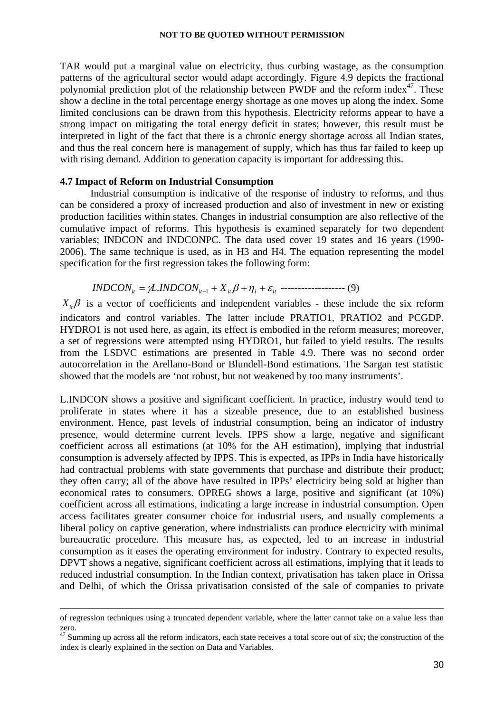TAR would put a marginal value on electricity, thus curbing wastage, as the consumption patterns of the agricultural sector would adapt accordingly. Figure 4.9 depicts the fractional polynomial prediction plot of the relationship between PWDF and the reform index<sup>47</sup>. These show a decline in the total percentage energy shortage as one moves up along the index. Some limited conclusions can be drawn from this hypothesis. Electricity reforms appear to have a strong impact on mitigating the total energy deficit in states; however, this result must be interpreted in light of the fact that there is a chronic energy shortage across all Indian states, and thus the real concern here is management of supply, which has thus far failed to keep up with rising demand. Addition to generation capacity is important for addressing this.

#### **4.7 Impact of Reform on Industrial Consumption**

Industrial consumption is indicative of the response of industry to reforms, and thus can be considered a proxy of increased production and also of investment in new or existing production facilities within states. Changes in industrial consumption are also reflective of the cumulative impact of reforms. This hypothesis is examined separately for two dependent variables; INDCON and INDCONPC. The data used cover 19 states and 16 years (1990- 2006). The same technique is used, as in H3 and H4. The equation representing the model specification for the first regression takes the following form:

$$
INDCON_{it} = \gamma L. INDCON_{it-1} + X_{it} \beta + \eta_i + \varepsilon_{it}
$$
 \n-----(9)

 $X_{it}$ β is a vector of coefficients and independent variables - these include the six reform indicators and control variables. The latter include PRATIO1, PRATIO2 and PCGDP. HYDRO1 is not used here, as again, its effect is embodied in the reform measures; moreover, a set of regressions were attempted using HYDRO1, but failed to yield results. The results from the LSDVC estimations are presented in Table 4.9. There was no second order autocorrelation in the Arellano-Bond or Blundell-Bond estimations. The Sargan test statistic showed that the models are 'not robust, but not weakened by too many instruments'.

L.INDCON shows a positive and significant coefficient. In practice, industry would tend to proliferate in states where it has a sizeable presence, due to an established business environment. Hence, past levels of industrial consumption, being an indicator of industry presence, would determine current levels. IPPS show a large, negative and significant coefficient across all estimations (at 10% for the AH estimation), implying that industrial consumption is adversely affected by IPPS. This is expected, as IPPs in India have historically had contractual problems with state governments that purchase and distribute their product; they often carry; all of the above have resulted in IPPs' electricity being sold at higher than economical rates to consumers. OPREG shows a large, positive and significant (at 10%) coefficient across all estimations, indicating a large increase in industrial consumption. Open access facilitates greater consumer choice for industrial users, and usually complements a liberal policy on captive generation, where industrialists can produce electricity with minimal bureaucratic procedure. This measure has, as expected, led to an increase in industrial consumption as it eases the operating environment for industry. Contrary to expected results, DPVT shows a negative, significant coefficient across all estimations, implying that it leads to reduced industrial consumption. In the Indian context, privatisation has taken place in Orissa and Delhi, of which the Orissa privatisation consisted of the sale of companies to private

of regression techniques using a truncated dependent variable, where the latter cannot take on a value less than zero.

 $47$  Summing up across all the reform indicators, each state receives a total score out of six; the construction of the index is clearly explained in the section on Data and Variables.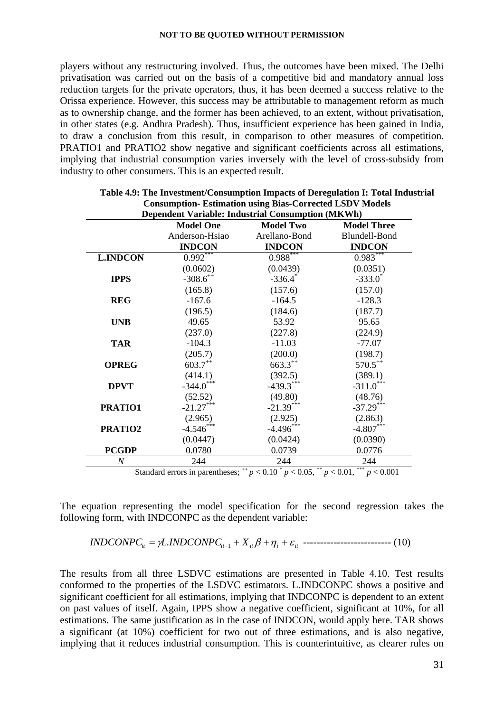players without any restructuring involved. Thus, the outcomes have been mixed. The Delhi privatisation was carried out on the basis of a competitive bid and mandatory annual loss reduction targets for the private operators, thus, it has been deemed a success relative to the Orissa experience. However, this success may be attributable to management reform as much as to ownership change, and the former has been achieved, to an extent, without privatisation, in other states (e.g. Andhra Pradesh). Thus, insufficient experience has been gained in India, to draw a conclusion from this result, in comparison to other measures of competition. PRATIO1 and PRATIO2 show negative and significant coefficients across all estimations, implying that industrial consumption varies inversely with the level of cross-subsidy from industry to other consumers. This is an expected result.

|                  | <b>Model One</b>       | <b>Model Two</b> | <b>Model Three</b> |
|------------------|------------------------|------------------|--------------------|
|                  | Anderson-Hsiao         | Arellano-Bond    | Blundell-Bond      |
|                  | <b>INDCON</b>          | <b>INDCON</b>    | <b>INDCON</b>      |
| <b>L.INDCON</b>  | $0.992$ <sup>***</sup> | $0.988***$       | $0.983***$         |
|                  | (0.0602)               | (0.0439)         | (0.0351)           |
| <b>IPPS</b>      | $-308.6^{++}$          | $-336.4$         | $-333.0$           |
|                  | (165.8)                | (157.6)          | (157.0)            |
| <b>REG</b>       | $-167.6$               | $-164.5$         | $-128.3$           |
|                  | (196.5)                | (184.6)          | (187.7)            |
| <b>UNB</b>       | 49.65                  | 53.92            | 95.65              |
|                  | (237.0)                | (227.8)          | (224.9)            |
| <b>TAR</b>       | $-104.3$               | $-11.03$         | $-77.07$           |
|                  | (205.7)                | (200.0)          | (198.7)            |
| <b>OPREG</b>     | $603.7^{++}$           | $663.3^{++}$     | $570.5^{++}$       |
|                  | (414.1)                | (392.5)          | (389.1)            |
| <b>DPVT</b>      | $-344.0$ ***           | $-439.3***$      | $-311.0***$        |
|                  | (52.52)                | (49.80)          | (48.76)            |
| PRATIO1          | $-21.27***$            | $-21.39***$      | $-37.29***$        |
|                  | (2.965)                | (2.925)          | (2.863)            |
| PRATIO2          | $-4.546***$            | $-4.496***$      | $-4.807***$        |
|                  | (0.0447)               | (0.0424)         | (0.0390)           |
| <b>PCGDP</b>     | 0.0780                 | 0.0739           | 0.0776             |
| $\boldsymbol{N}$ | 244                    | 244              | 244                |

| Table 4.9: The Investment/Consumption Impacts of Deregulation I: Total Industrial |
|-----------------------------------------------------------------------------------|
| <b>Consumption-Estimation using Bias-Corrected LSDV Models</b>                    |
| Dependent Variable: Industrial Consumption (MKWh)                                 |

The equation representing the model specification for the second regression takes the following form, with INDCONPC as the dependent variable:

*it it Xit <sup>i</sup> it INDCONPC* = <sup>γ</sup>*L INDCONPC* + β +<sup>η</sup> + <sup>ε</sup> <sup>−</sup><sup>1</sup> . -------------------------- (10)

The results from all three LSDVC estimations are presented in Table 4.10. Test results conformed to the properties of the LSDVC estimators. L.INDCONPC shows a positive and significant coefficient for all estimations, implying that INDCONPC is dependent to an extent on past values of itself. Again, IPPS show a negative coefficient, significant at 10%, for all estimations. The same justification as in the case of INDCON, would apply here. TAR shows a significant (at 10%) coefficient for two out of three estimations, and is also negative, implying that it reduces industrial consumption. This is counterintuitive, as clearer rules on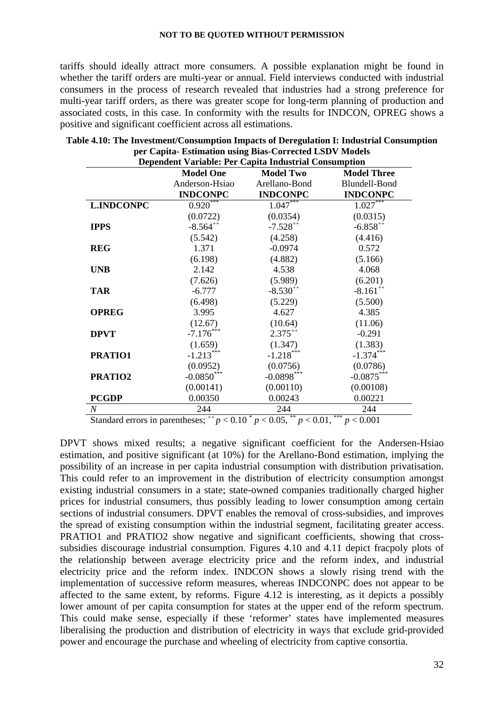tariffs should ideally attract more consumers. A possible explanation might be found in whether the tariff orders are multi-year or annual. Field interviews conducted with industrial consumers in the process of research revealed that industries had a strong preference for multi-year tariff orders, as there was greater scope for long-term planning of production and associated costs, in this case. In conformity with the results for INDCON, OPREG shows a positive and significant coefficient across all estimations.

|                   | <b>Dependent Variable: Per Capita Industrial Consumption</b><br><b>Model One</b> | <b>Model Two</b> | <b>Model Three</b>     |
|-------------------|----------------------------------------------------------------------------------|------------------|------------------------|
|                   | Anderson-Hsiao                                                                   | Arellano-Bond    | Blundell-Bond          |
|                   | <b>INDCONPC</b>                                                                  | <b>INDCONPC</b>  | <b>INDCONPC</b>        |
| <b>L.INDCONPC</b> | $0.920***$                                                                       | $1.047***$       | $1.027***$             |
|                   | (0.0722)                                                                         | (0.0354)         | (0.0315)               |
| <b>IPPS</b>       | $-8.564^{++}$                                                                    | $-7.528^{++}$    | $-6.858^{++}$          |
|                   | (5.542)                                                                          | (4.258)          | (4.416)                |
| <b>REG</b>        | 1.371                                                                            | $-0.0974$        | 0.572                  |
|                   | (6.198)                                                                          | (4.882)          | (5.166)                |
| <b>UNB</b>        | 2.142                                                                            | 4.538            | 4.068                  |
|                   | (7.626)                                                                          | (5.989)          | (6.201)                |
| <b>TAR</b>        | $-6.777$                                                                         | $-8.530^{++}$    | $-8.161$ <sup>++</sup> |
|                   | (6.498)                                                                          | (5.229)          | (5.500)                |
| <b>OPREG</b>      | 3.995                                                                            | 4.627            | 4.385                  |
|                   | (12.67)                                                                          | (10.64)          | (11.06)                |
| <b>DPVT</b>       | $-7.176***$                                                                      | $2.375^{++}$     | $-0.291$               |
|                   | (1.659)                                                                          | (1.347)          | (1.383)                |
| PRATIO1           | $-1.213***$                                                                      | $-1.218***$      | $-1.374***$            |
|                   | (0.0952)                                                                         | (0.0756)         | (0.0786)               |
| PRATIO2           | $-0.0850$ ***                                                                    | $-0.0898***$     | $-0.0875***$           |
|                   | (0.00141)                                                                        | (0.00110)        | (0.00108)              |
| <b>PCGDP</b>      | 0.00350                                                                          | 0.00243          | 0.00221                |
| $\boldsymbol{N}$  | 244<br>Standard errors in parentheses; $^{++}p < 0.10^{+}p < 0.05$ ,             | 244              | 244                    |

| Table 4.10: The Investment/Consumption Impacts of Deregulation I: Industrial Consumption |
|------------------------------------------------------------------------------------------|
| per Capita- Estimation using Bias-Corrected LSDV Models                                  |

DPVT shows mixed results; a negative significant coefficient for the Andersen-Hsiao estimation, and positive significant (at 10%) for the Arellano-Bond estimation, implying the possibility of an increase in per capita industrial consumption with distribution privatisation. This could refer to an improvement in the distribution of electricity consumption amongst existing industrial consumers in a state; state-owned companies traditionally charged higher prices for industrial consumers, thus possibly leading to lower consumption among certain sections of industrial consumers. DPVT enables the removal of cross-subsidies, and improves the spread of existing consumption within the industrial segment, facilitating greater access. PRATIO1 and PRATIO2 show negative and significant coefficients, showing that crosssubsidies discourage industrial consumption. Figures 4.10 and 4.11 depict fracpoly plots of the relationship between average electricity price and the reform index, and industrial electricity price and the reform index. INDCON shows a slowly rising trend with the implementation of successive reform measures, whereas INDCONPC does not appear to be affected to the same extent, by reforms. Figure 4.12 is interesting, as it depicts a possibly lower amount of per capita consumption for states at the upper end of the reform spectrum. This could make sense, especially if these 'reformer' states have implemented measures liberalising the production and distribution of electricity in ways that exclude grid-provided power and encourage the purchase and wheeling of electricity from captive consortia.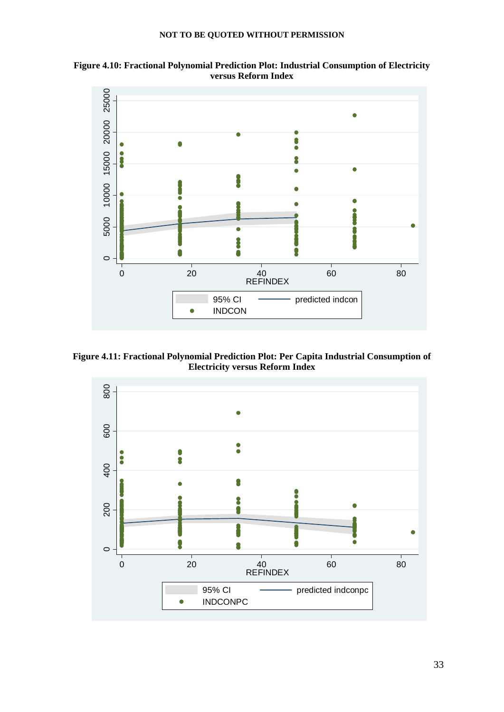



**Figure 4.11: Fractional Polynomial Prediction Plot: Per Capita Industrial Consumption of Electricity versus Reform Index** 

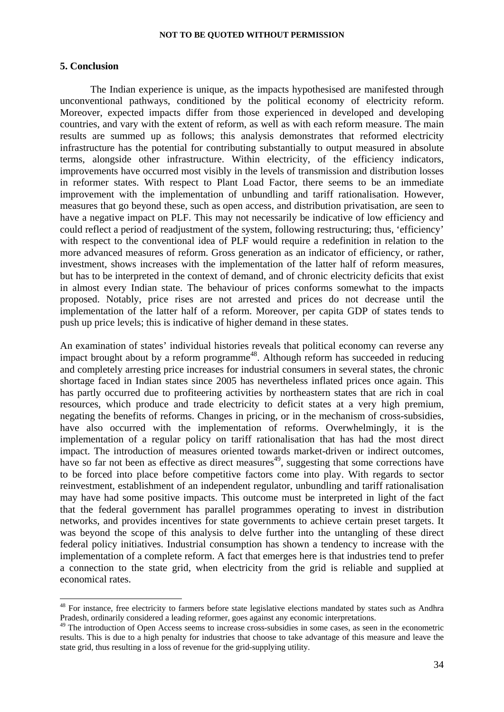#### **5. Conclusion**

<u>.</u>

The Indian experience is unique, as the impacts hypothesised are manifested through unconventional pathways, conditioned by the political economy of electricity reform. Moreover, expected impacts differ from those experienced in developed and developing countries, and vary with the extent of reform, as well as with each reform measure. The main results are summed up as follows; this analysis demonstrates that reformed electricity infrastructure has the potential for contributing substantially to output measured in absolute terms, alongside other infrastructure. Within electricity, of the efficiency indicators, improvements have occurred most visibly in the levels of transmission and distribution losses in reformer states. With respect to Plant Load Factor, there seems to be an immediate improvement with the implementation of unbundling and tariff rationalisation. However, measures that go beyond these, such as open access, and distribution privatisation, are seen to have a negative impact on PLF. This may not necessarily be indicative of low efficiency and could reflect a period of readjustment of the system, following restructuring; thus, 'efficiency' with respect to the conventional idea of PLF would require a redefinition in relation to the more advanced measures of reform. Gross generation as an indicator of efficiency, or rather, investment, shows increases with the implementation of the latter half of reform measures, but has to be interpreted in the context of demand, and of chronic electricity deficits that exist in almost every Indian state. The behaviour of prices conforms somewhat to the impacts proposed. Notably, price rises are not arrested and prices do not decrease until the implementation of the latter half of a reform. Moreover, per capita GDP of states tends to push up price levels; this is indicative of higher demand in these states.

An examination of states' individual histories reveals that political economy can reverse any impact brought about by a reform programme<sup>48</sup>. Although reform has succeeded in reducing and completely arresting price increases for industrial consumers in several states, the chronic shortage faced in Indian states since 2005 has nevertheless inflated prices once again. This has partly occurred due to profiteering activities by northeastern states that are rich in coal resources, which produce and trade electricity to deficit states at a very high premium, negating the benefits of reforms. Changes in pricing, or in the mechanism of cross-subsidies, have also occurred with the implementation of reforms. Overwhelmingly, it is the implementation of a regular policy on tariff rationalisation that has had the most direct impact. The introduction of measures oriented towards market-driven or indirect outcomes, have so far not been as effective as direct measures<sup>49</sup>, suggesting that some corrections have to be forced into place before competitive factors come into play. With regards to sector reinvestment, establishment of an independent regulator, unbundling and tariff rationalisation may have had some positive impacts. This outcome must be interpreted in light of the fact that the federal government has parallel programmes operating to invest in distribution networks, and provides incentives for state governments to achieve certain preset targets. It was beyond the scope of this analysis to delve further into the untangling of these direct federal policy initiatives. Industrial consumption has shown a tendency to increase with the implementation of a complete reform. A fact that emerges here is that industries tend to prefer a connection to the state grid, when electricity from the grid is reliable and supplied at economical rates.

<sup>&</sup>lt;sup>48</sup> For instance, free electricity to farmers before state legislative elections mandated by states such as Andhra Pradesh, ordinarily considered a leading reformer, goes against any economic interpretations.

<sup>&</sup>lt;sup>49</sup> The introduction of Open Access seems to increase cross-subsidies in some cases, as seen in the econometric results. This is due to a high penalty for industries that choose to take advantage of this measure and leave the state grid, thus resulting in a loss of revenue for the grid-supplying utility.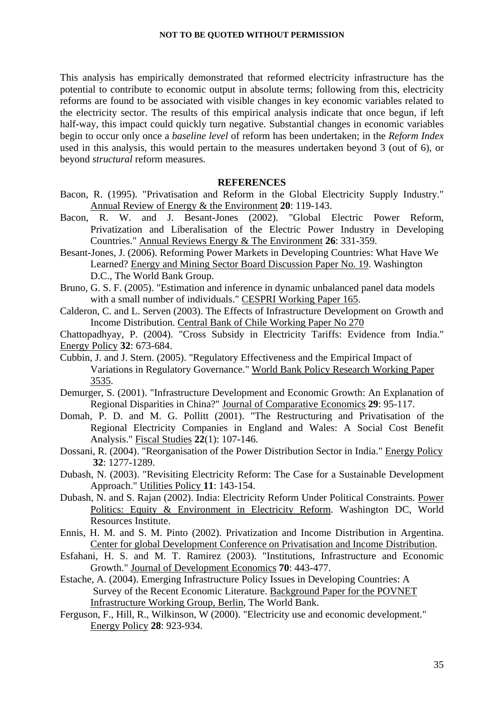This analysis has empirically demonstrated that reformed electricity infrastructure has the potential to contribute to economic output in absolute terms; following from this, electricity reforms are found to be associated with visible changes in key economic variables related to the electricity sector. The results of this empirical analysis indicate that once begun, if left half-way, this impact could quickly turn negative. Substantial changes in economic variables begin to occur only once a *baseline level* of reform has been undertaken; in the *Reform Index* used in this analysis, this would pertain to the measures undertaken beyond 3 (out of 6), or beyond *structural* reform measures.

#### **REFERENCES**

- Bacon, R. (1995). "Privatisation and Reform in the Global Electricity Supply Industry." Annual Review of Energy & the Environment **20**: 119-143.
- Bacon, R. W. and J. Besant-Jones (2002). "Global Electric Power Reform, Privatization and Liberalisation of the Electric Power Industry in Developing Countries." Annual Reviews Energy & The Environment **26**: 331-359.
- Besant-Jones, J. (2006). Reforming Power Markets in Developing Countries: What Have We Learned? Energy and Mining Sector Board Discussion Paper No. 19. Washington D.C., The World Bank Group.
- Bruno, G. S. F. (2005). "Estimation and inference in dynamic unbalanced panel data models with a small number of individuals." CESPRI Working Paper 165.
- Calderon, C. and L. Serven (2003). The Effects of Infrastructure Development on Growth and Income Distribution. Central Bank of Chile Working Paper No 270
- Chattopadhyay, P. (2004). "Cross Subsidy in Electricity Tariffs: Evidence from India." Energy Policy **32**: 673-684.
- Cubbin, J. and J. Stern. (2005). "Regulatory Effectiveness and the Empirical Impact of Variations in Regulatory Governance." World Bank Policy Research Working Paper 3535.
- Demurger, S. (2001). "Infrastructure Development and Economic Growth: An Explanation of Regional Disparities in China?" Journal of Comparative Economics **29**: 95-117.
- Domah, P. D. and M. G. Pollitt (2001). "The Restructuring and Privatisation of the Regional Electricity Companies in England and Wales: A Social Cost Benefit Analysis." Fiscal Studies **22**(1): 107-146.
- Dossani, R. (2004). "Reorganisation of the Power Distribution Sector in India." Energy Policy **32**: 1277-1289.
- Dubash, N. (2003). "Revisiting Electricity Reform: The Case for a Sustainable Development Approach." Utilities Policy **11**: 143-154.
- Dubash, N. and S. Rajan (2002). India: Electricity Reform Under Political Constraints. Power Politics: Equity & Environment in Electricity Reform. Washington DC, World Resources Institute.
- Ennis, H. M. and S. M. Pinto (2002). Privatization and Income Distribution in Argentina. Center for global Development Conference on Privatisation and Income Distribution.
- Esfahani, H. S. and M. T. Ramirez (2003). "Institutions, Infrastructure and Economic Growth." Journal of Development Economics **70**: 443-477.
- Estache, A. (2004). Emerging Infrastructure Policy Issues in Developing Countries: A Survey of the Recent Economic Literature. Background Paper for the POVNET Infrastructure Working Group, Berlin, The World Bank.
- Ferguson, F., Hill, R., Wilkinson, W (2000). "Electricity use and economic development." Energy Policy **28**: 923-934.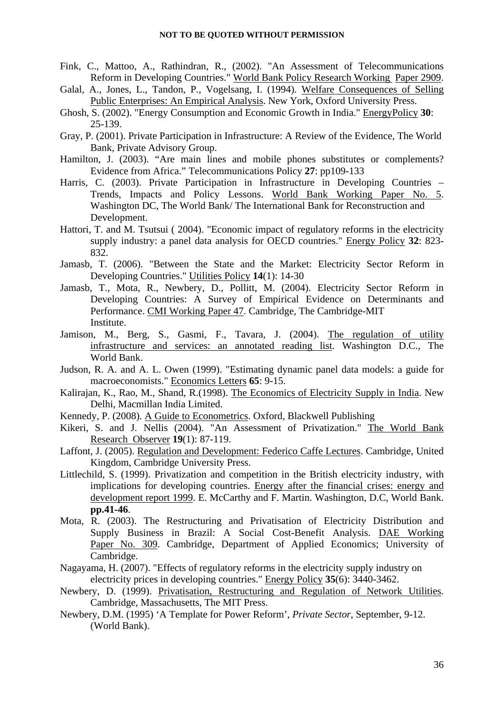- Fink, C., Mattoo, A., Rathindran, R., (2002). "An Assessment of Telecommunications Reform in Developing Countries." World Bank Policy Research Working Paper 2909.
- Galal, A., Jones, L., Tandon, P., Vogelsang, I. (1994). Welfare Consequences of Selling Public Enterprises: An Empirical Analysis. New York, Oxford University Press.
- Ghosh, S. (2002). "Energy Consumption and Economic Growth in India." EnergyPolicy **30**: 25-139.
- Gray, P. (2001). Private Participation in Infrastructure: A Review of the Evidence, The World Bank, Private Advisory Group.
- Hamilton, J. (2003). "Are main lines and mobile phones substitutes or complements? Evidence from Africa." Telecommunications Policy **27**: pp109-133
- Harris, C. (2003). Private Participation in Infrastructure in Developing Countries Trends, Impacts and Policy Lessons. World Bank Working Paper No. 5. Washington DC, The World Bank/ The International Bank for Reconstruction and Development.
- Hattori, T. and M. Tsutsui ( 2004). "Economic impact of regulatory reforms in the electricity supply industry: a panel data analysis for OECD countries." Energy Policy **32**: 823- 832.
- Jamasb, T. (2006). "Between the State and the Market: Electricity Sector Reform in Developing Countries." Utilities Policy **14**(1): 14-30
- Jamasb, T., Mota, R., Newbery, D., Pollitt, M. (2004). Electricity Sector Reform in Developing Countries: A Survey of Empirical Evidence on Determinants and Performance. CMI Working Paper 47. Cambridge, The Cambridge-MIT Institute.
- Jamison, M., Berg, S., Gasmi, F., Tavara, J. (2004). The regulation of utility infrastructure and services: an annotated reading list. Washington D.C., The World Bank.
- Judson, R. A. and A. L. Owen (1999). "Estimating dynamic panel data models: a guide for macroeconomists." Economics Letters **65**: 9-15.
- Kalirajan, K., Rao, M., Shand, R.(1998). The Economics of Electricity Supply in India. New Delhi, Macmillan India Limited.
- Kennedy, P. (2008). A Guide to Econometrics. Oxford, Blackwell Publishing
- Kikeri, S. and J. Nellis (2004). "An Assessment of Privatization." The World Bank Research Observer **19**(1): 87-119.
- Laffont, J. (2005). Regulation and Development: Federico Caffe Lectures. Cambridge, United Kingdom, Cambridge University Press.
- Littlechild, S. (1999). Privatization and competition in the British electricity industry, with implications for developing countries. Energy after the financial crises: energy and development report 1999. E. McCarthy and F. Martin. Washington, D.C, World Bank. **pp.41-46**.
- Mota, R. (2003). The Restructuring and Privatisation of Electricity Distribution and Supply Business in Brazil: A Social Cost-Benefit Analysis. DAE Working Paper No. 309. Cambridge, Department of Applied Economics; University of Cambridge.
- Nagayama, H. (2007). "Effects of regulatory reforms in the electricity supply industry on electricity prices in developing countries." Energy Policy **35**(6): 3440-3462.
- Newbery, D. (1999). Privatisation, Restructuring and Regulation of Network Utilities. Cambridge, Massachusetts, The MIT Press.
- Newbery, D.M. (1995) 'A Template for Power Reform', *Private Sector*, September, 9-12. (World Bank).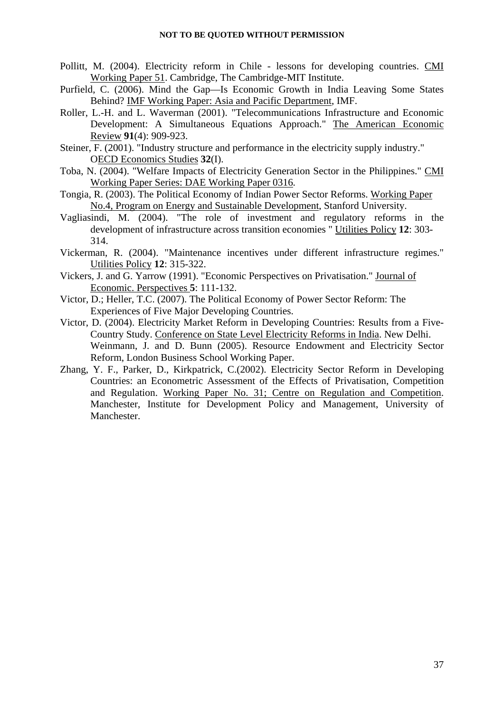- Pollitt, M. (2004). Electricity reform in Chile lessons for developing countries. CMI Working Paper 51. Cambridge, The Cambridge-MIT Institute.
- Purfield, C. (2006). Mind the Gap—Is Economic Growth in India Leaving Some States Behind? IMF Working Paper: Asia and Pacific Department, IMF.
- Roller, L.-H. and L. Waverman (2001). "Telecommunications Infrastructure and Economic Development: A Simultaneous Equations Approach." The American Economic Review **91**(4): 909-923.
- Steiner, F. (2001). "Industry structure and performance in the electricity supply industry." OECD Economics Studies **32**(I).
- Toba, N. (2004). "Welfare Impacts of Electricity Generation Sector in the Philippines." CMI Working Paper Series: DAE Working Paper 0316.
- Tongia, R. (2003). The Political Economy of Indian Power Sector Reforms. Working Paper No.4, Program on Energy and Sustainable Development, Stanford University.
- Vagliasindi, M. (2004). "The role of investment and regulatory reforms in the development of infrastructure across transition economies " Utilities Policy **12**: 303- 314.
- Vickerman, R. (2004). "Maintenance incentives under different infrastructure regimes." Utilities Policy **12**: 315-322.
- Vickers, J. and G. Yarrow (1991). "Economic Perspectives on Privatisation." Journal of Economic. Perspectives **5**: 111-132.
- Victor, D.; Heller, T.C. (2007). The Political Economy of Power Sector Reform: The Experiences of Five Major Developing Countries.
- Victor, D. (2004). Electricity Market Reform in Developing Countries: Results from a Five-Country Study. Conference on State Level Electricity Reforms in India. New Delhi. Weinmann, J. and D. Bunn (2005). Resource Endowment and Electricity Sector Reform, London Business School Working Paper.
- Zhang, Y. F., Parker, D., Kirkpatrick, C.(2002). Electricity Sector Reform in Developing Countries: an Econometric Assessment of the Effects of Privatisation, Competition and Regulation. Working Paper No. 31; Centre on Regulation and Competition. Manchester, Institute for Development Policy and Management, University of Manchester.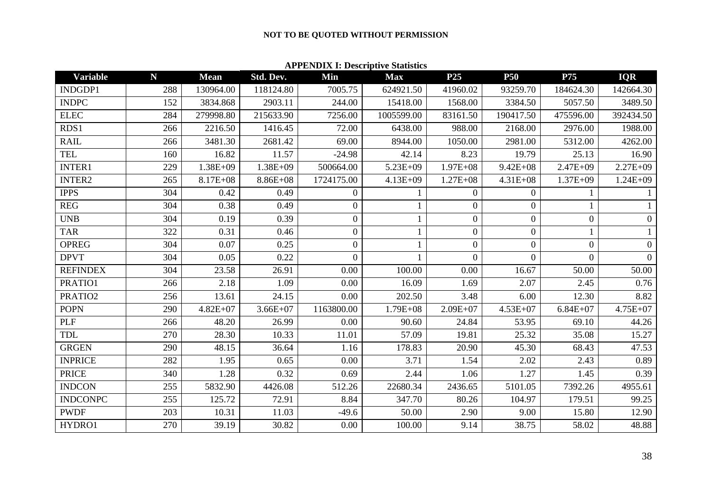#### **APPENDIX I: Descriptive Statistics**

| <b>Variable</b> | N   | <b>Mean</b>  | Std. Dev.    | Min              | <b>Max</b>   | P <sub>25</sub>  | <b>P50</b>       | P75            | <b>IQR</b>     |
|-----------------|-----|--------------|--------------|------------------|--------------|------------------|------------------|----------------|----------------|
| INDGDP1         | 288 | 130964.00    | 118124.80    | 7005.75          | 624921.50    | 41960.02         | 93259.70         | 184624.30      | 142664.30      |
| <b>INDPC</b>    | 152 | 3834.868     | 2903.11      | 244.00           | 15418.00     | 1568.00          | 3384.50          | 5057.50        | 3489.50        |
| <b>ELEC</b>     | 284 | 279998.80    | 215633.90    | 7256.00          | 1005599.00   | 83161.50         | 190417.50        | 475596.00      | 392434.50      |
| RDS1            | 266 | 2216.50      | 1416.45      | 72.00            | 6438.00      | 988.00           | 2168.00          | 2976.00        | 1988.00        |
| <b>RAIL</b>     | 266 | 3481.30      | 2681.42      | 69.00            | 8944.00      | 1050.00          | 2981.00          | 5312.00        | 4262.00        |
| <b>TEL</b>      | 160 | 16.82        | 11.57        | $-24.98$         | 42.14        | 8.23             | 19.79            | 25.13          | 16.90          |
| <b>INTER1</b>   | 229 | $1.38E + 09$ | 1.38E+09     | 500664.00        | 5.23E+09     | $1.97E + 08$     | $9.42E + 08$     | $2.47E + 09$   | 2.27E+09       |
| INTER2          | 265 | 8.17E+08     | 8.86E+08     | 1724175.00       | $4.13E + 09$ | $1.27E + 08$     | $4.31E + 08$     | $1.37E + 09$   | $1.24E + 09$   |
| <b>IPPS</b>     | 304 | 0.42         | 0.49         | $\boldsymbol{0}$ |              | $\overline{0}$   | $\overline{0}$   | 1              |                |
| <b>REG</b>      | 304 | 0.38         | 0.49         | $\overline{0}$   |              | $\boldsymbol{0}$ | $\boldsymbol{0}$ |                |                |
| <b>UNB</b>      | 304 | 0.19         | 0.39         | $\boldsymbol{0}$ |              | $\boldsymbol{0}$ | $\overline{0}$   | $\overline{0}$ | $\overline{0}$ |
| <b>TAR</b>      | 322 | 0.31         | 0.46         | $\overline{0}$   |              | $\overline{0}$   | $\overline{0}$   | 1              |                |
| <b>OPREG</b>    | 304 | 0.07         | 0.25         | $\overline{0}$   |              | $\overline{0}$   | $\overline{0}$   | $\overline{0}$ | $\Omega$       |
| <b>DPVT</b>     | 304 | 0.05         | 0.22         | $\theta$         |              | $\overline{0}$   | $\overline{0}$   | $\overline{0}$ | $\Omega$       |
| <b>REFINDEX</b> | 304 | 23.58        | 26.91        | 0.00             | 100.00       | 0.00             | 16.67            | 50.00          | 50.00          |
| PRATIO1         | 266 | 2.18         | 1.09         | 0.00             | 16.09        | 1.69             | 2.07             | 2.45           | 0.76           |
| PRATIO2         | 256 | 13.61        | 24.15        | 0.00             | 202.50       | 3.48             | 6.00             | 12.30          | 8.82           |
| <b>POPN</b>     | 290 | $4.82E + 07$ | $3.66E + 07$ | 1163800.00       | $1.79E + 08$ | $2.09E + 07$     | $4.53E+07$       | $6.84E + 07$   | 4.75E+07       |
| <b>PLF</b>      | 266 | 48.20        | 26.99        | 0.00             | 90.60        | 24.84            | 53.95            | 69.10          | 44.26          |
| <b>TDL</b>      | 270 | 28.30        | 10.33        | 11.01            | 57.09        | 19.81            | 25.32            | 35.08          | 15.27          |
| <b>GRGEN</b>    | 290 | 48.15        | 36.64        | 1.16             | 178.83       | 20.90            | 45.30            | 68.43          | 47.53          |
| <b>INPRICE</b>  | 282 | 1.95         | 0.65         | 0.00             | 3.71         | 1.54             | 2.02             | 2.43           | 0.89           |
| <b>PRICE</b>    | 340 | 1.28         | 0.32         | 0.69             | 2.44         | 1.06             | 1.27             | 1.45           | 0.39           |
| <b>INDCON</b>   | 255 | 5832.90      | 4426.08      | 512.26           | 22680.34     | 2436.65          | 5101.05          | 7392.26        | 4955.61        |
| <b>INDCONPC</b> | 255 | 125.72       | 72.91        | 8.84             | 347.70       | 80.26            | 104.97           | 179.51         | 99.25          |
| <b>PWDF</b>     | 203 | 10.31        | 11.03        | $-49.6$          | 50.00        | 2.90             | 9.00             | 15.80          | 12.90          |
| HYDRO1          | 270 | 39.19        | 30.82        | 0.00             | 100.00       | 9.14             | 38.75            | 58.02          | 48.88          |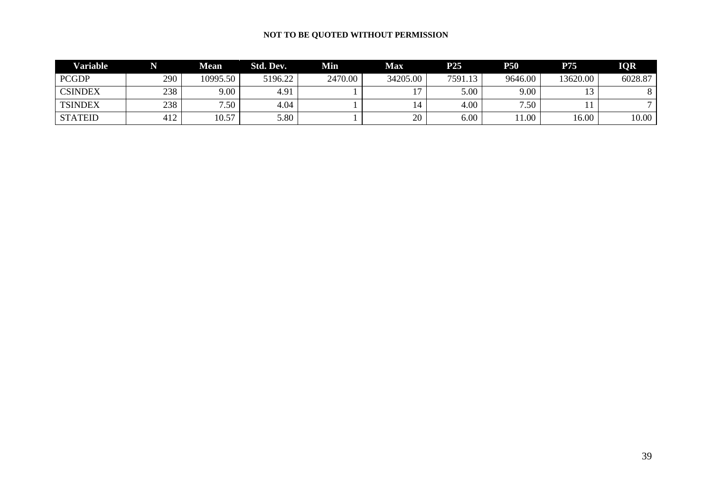| <b>Variable</b> | N   | Mean     | Std. Dev. | Min     | <b>Max</b> | P25     | <b>P50</b> | P75      | <b>IOR</b> |
|-----------------|-----|----------|-----------|---------|------------|---------|------------|----------|------------|
| <b>PCGDP</b>    | 290 | 10995.50 | 5196.22   | 2470.00 | 34205.00   | 7591.13 | 9646.00    | 13620.00 | 6028.87    |
| <b>CSINDEX</b>  | 238 | $9.00\,$ | 4.91      |         |            | 5.00    | 9.00       |          |            |
| <b>TSINDEX</b>  | 238 | 7.50     | 4.04      |         |            | 4.00    | 7.50       |          |            |
| <b>STATEID</b>  | 412 | 10.57    | 5.80      |         | 20         | 6.00    | 11.00      | 6.00     | 10.00      |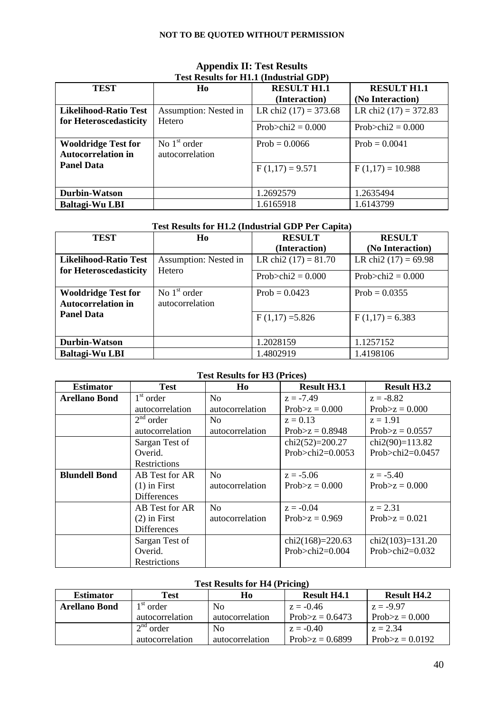| Test Results for Him. (Intuition full ODT)                                                   |                       |                         |                         |  |  |  |  |  |
|----------------------------------------------------------------------------------------------|-----------------------|-------------------------|-------------------------|--|--|--|--|--|
| <b>TEST</b>                                                                                  | Ho                    | <b>RESULT H1.1</b>      | <b>RESULT H1.1</b>      |  |  |  |  |  |
|                                                                                              |                       | (Interaction)           | (No Interaction)        |  |  |  |  |  |
| <b>Likelihood-Ratio Test</b>                                                                 | Assumption: Nested in | LR chi2 $(17) = 373.68$ | LR chi2 $(17) = 372.83$ |  |  |  |  |  |
| for Heteroscedasticity                                                                       | Hetero                | Prob $\ge$ chi2 = 0.000 | Prob $\ge$ chi2 = 0.000 |  |  |  |  |  |
| No $1st$ order<br><b>Wooldridge Test for</b><br><b>Autocorrelation in</b><br>autocorrelation |                       | $Prob = 0.0066$         | $Prob = 0.0041$         |  |  |  |  |  |
| <b>Panel Data</b>                                                                            |                       | $F(1,17) = 9.571$       | $F(1,17) = 10.988$      |  |  |  |  |  |
| <b>Durbin-Watson</b>                                                                         |                       | 1.2692579               | 1.2635494               |  |  |  |  |  |
| Baltagi-Wu LBI                                                                               |                       | 1.6165918               | 1.6143799               |  |  |  |  |  |

## **Appendix II: Test Results Test Results for H1.1 (Industrial GDP)**

# **Test Results for H1.2 (Industrial GDP Per Capita)**

| <b>TEST</b>                                             | H <sub>0</sub>                    | <b>RESULT</b>          | <b>RESULT</b>           |
|---------------------------------------------------------|-----------------------------------|------------------------|-------------------------|
|                                                         |                                   | (Interaction)          | (No Interaction)        |
| <b>Likelihood-Ratio Test</b>                            | Assumption: Nested in             | LR chi2 $(17) = 81.70$ | LR chi2 $(17) = 69.98$  |
| for Heteroscedasticity                                  | Hetero                            | Prob>chi $2 = 0.000$   | Prob $\ge$ chi2 = 0.000 |
| <b>Wooldridge Test for</b><br><b>Autocorrelation in</b> | No $1st$ order<br>autocorrelation | Prob = $0.0423$        | Prob = $0.0355$         |
| <b>Panel Data</b>                                       |                                   | $F(1,17) = 5.826$      | $F(1,17) = 6.383$       |
| <b>Durbin-Watson</b>                                    |                                   | 1.2028159              | 1.1257152               |
| <b>Baltagi-Wu LBI</b>                                   |                                   | 1.4802919              | 1.4198106               |

## **Test Results for H3 (Prices)**

| <b>Estimator</b>     | <b>Test</b>           | Ho                                    | <b>Result H3.1</b>  | <b>Result H3.2</b>  |  |
|----------------------|-----------------------|---------------------------------------|---------------------|---------------------|--|
| <b>Arellano Bond</b> | $1st$ order           | N <sub>o</sub>                        | $z = -7.49$         | $z = -8.82$         |  |
|                      | autocorrelation       | autocorrelation                       | Prob $>z$ = 0.000   | Prob $>z$ = 0.000   |  |
|                      | 2 <sup>nd</sup> order | N <sub>o</sub>                        | $z = 0.13$          | $z = 1.91$          |  |
|                      | autocorrelation       | autocorrelation<br>Prob $>z$ = 0.8948 |                     | $Prob > z = 0.0557$ |  |
|                      | Sargan Test of        |                                       | chi2(52)=200.27     | chi2(90)= $113.82$  |  |
|                      | Overid.               |                                       | Prob>chi2= $0.0053$ | Prob>chi2= $0.0457$ |  |
| Restrictions         |                       |                                       |                     |                     |  |
| <b>Blundell Bond</b> | AB Test for AR        | N <sub>0</sub>                        | $z = -5.06$         | $z = -5.40$         |  |
|                      | $(1)$ in First        | autocorrelation                       | Prob $>z$ = 0.000   | Prob $>z$ = 0.000   |  |
|                      | <b>Differences</b>    |                                       |                     |                     |  |
|                      | AB Test for AR        | N <sub>0</sub>                        | $z = -0.04$         | $z = 2.31$          |  |
|                      | $(2)$ in First        | autocorrelation                       | Prob $>z$ = 0.969   | Prob $>z$ = 0.021   |  |
|                      | <b>Differences</b>    |                                       |                     |                     |  |
|                      | Sargan Test of        |                                       | chi2(168)=220.63    | $chi2(103)=131.20$  |  |
|                      | Overid.               |                                       | Prob>chi2= $0.004$  | Prob $>$ chi2=0.032 |  |
|                      | Restrictions          |                                       |                     |                     |  |

## **Test Results for H4 (Pricing)**

| <b>Estimator</b>     | Test                               | Ho              | <b>Result H4.1</b> | <b>Result H4.2</b> |  |
|----------------------|------------------------------------|-----------------|--------------------|--------------------|--|
| <b>Arellano Bond</b> | $1st$ order                        | N <sub>0</sub>  | $z = -0.46$        | $z = -9.97$        |  |
|                      | autocorrelation<br>autocorrelation |                 | Prob $>z$ = 0.6473 | $Prob > z = 0.000$ |  |
|                      | 2 <sup>nd</sup><br>order           | N <sub>0</sub>  | $z = -0.40$        | $z = 2.34$         |  |
|                      | autocorrelation                    | autocorrelation | Prob $>z$ = 0.6899 | Prob $>z$ = 0.0192 |  |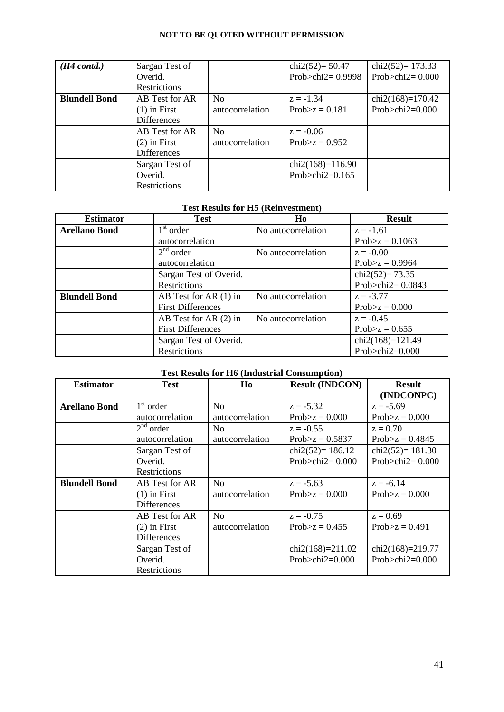| $(H4 \text{ contd.})$ | Sargan Test of     |                 | chi2(52)= $50.47$       | chi2(52)= $173.33$     |
|-----------------------|--------------------|-----------------|-------------------------|------------------------|
|                       | Overid.            |                 | Prob $>$ chi $2=0.9998$ | Prob $>$ chi $2=0.000$ |
|                       | Restrictions       |                 |                         |                        |
| <b>Blundell Bond</b>  | AB Test for AR     | N <sub>0</sub>  | $z = -1.34$             | $chi2(168)=170.42$     |
|                       | $(1)$ in First     | autocorrelation | $Prob > z = 0.181$      | Prob>chi $2=0.000$     |
|                       | <b>Differences</b> |                 |                         |                        |
|                       | AB Test for AR     | N <sub>0</sub>  | $z = -0.06$             |                        |
|                       | $(2)$ in First     | autocorrelation | Prob $>z$ = 0.952       |                        |
|                       | <b>Differences</b> |                 |                         |                        |
|                       | Sargan Test of     |                 | $chi2(168)=116.90$      |                        |
|                       | Overid.            |                 | Prob $>$ chi2=0.165     |                        |
|                       | Restrictions       |                 |                         |                        |

#### **Test Results for H5 (Reinvestment)**

| <b>Estimator</b>     | <b>Test</b>              | H <sub>0</sub>     | <b>Result</b>           |
|----------------------|--------------------------|--------------------|-------------------------|
| <b>Arellano Bond</b> | $1st$ order              | No autocorrelation | $z = -1.61$             |
|                      | autocorrelation          |                    | Prob $>z$ = 0.1063      |
|                      | $2nd$ order              | No autocorrelation | $z = -0.00$             |
|                      | autocorrelation          |                    | $Prob > z = 0.9964$     |
|                      | Sargan Test of Overid.   |                    | chi2(52)= $73.35$       |
| Restrictions         |                          |                    | Prob $>$ chi $2=0.0843$ |
| <b>Blundell Bond</b> | AB Test for AR $(1)$ in  | No autocorrelation | $z = -3.77$             |
|                      | <b>First Differences</b> |                    | Prob $>z$ = 0.000       |
|                      | AB Test for AR (2) in    | No autocorrelation | $z = -0.45$             |
|                      | <b>First Differences</b> |                    | $Prob > z = 0.655$      |
|                      | Sargan Test of Overid.   |                    | $chi2(168)=121.49$      |
|                      | Restrictions             |                    | Prob>chi2= $0.000$      |

## **Test Results for H6 (Industrial Consumption)**

| <b>Estimator</b>     | <b>Test</b>           | H <sub>0</sub>     | <b>Result (INDCON)</b> |                        |  |
|----------------------|-----------------------|--------------------|------------------------|------------------------|--|
|                      |                       |                    |                        | (INDCONPC)             |  |
| <b>Arellano Bond</b> | $1st$ order           | N <sub>o</sub>     | $z = -5.32$            | $z = -5.69$            |  |
|                      | autocorrelation       | autocorrelation    | $Prob > z = 0.000$     | $Prob > z = 0.000$     |  |
|                      | 2 <sup>nd</sup> order | No                 | $z = -0.55$            | $z = 0.70$             |  |
|                      | autocorrelation       | autocorrelation    | $Prob > z = 0.5837$    | $Prob > z = 0.4845$    |  |
|                      | Sargan Test of        | chi2(52)= $186.12$ |                        | chi2(52)= $181.30$     |  |
|                      | Overid.               |                    | Prob $>$ chi $2=0.000$ | Prob $>$ chi $2=0.000$ |  |
| <b>Restrictions</b>  |                       |                    |                        |                        |  |
| <b>Blundell Bond</b> | AB Test for AR        | No                 | $z = -5.63$            | $z = -6.14$            |  |
|                      | $(1)$ in First        | autocorrelation    | Prob $>z$ = 0.000      | Prob $>z$ = 0.000      |  |
|                      | <b>Differences</b>    |                    |                        |                        |  |
|                      | AB Test for AR        | N <sub>0</sub>     | $z = -0.75$            | $z = 0.69$             |  |
|                      | $(2)$ in First        | autocorrelation    | Prob $>z$ = 0.455      | Prob $>z$ = 0.491      |  |
|                      | <b>Differences</b>    |                    |                        |                        |  |
|                      | Sargan Test of        |                    | $chi2(168)=211.02$     | chi2(168)=219.77       |  |
|                      | Overid.               |                    | Prob $>$ chi2=0.000    | Prob $>$ chi2=0.000    |  |
|                      | Restrictions          |                    |                        |                        |  |